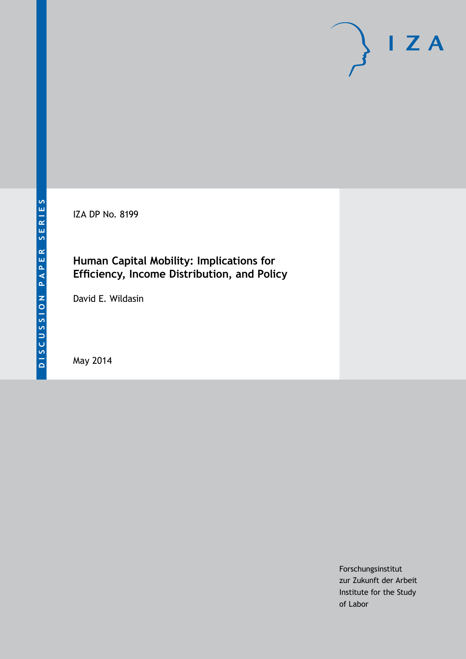IZA DP No. 8199

# **Human Capital Mobility: Implications for Efficiency, Income Distribution, and Policy**

David E. Wildasin

May 2014

Forschungsinstitut zur Zukunft der Arbeit Institute for the Study of Labor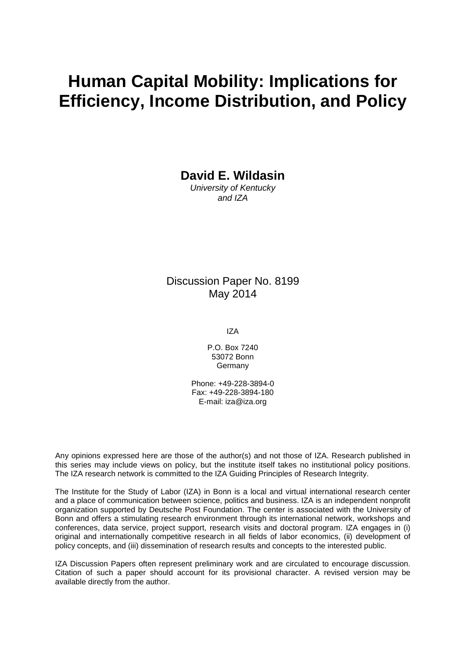# **Human Capital Mobility: Implications for Efficiency, Income Distribution, and Policy**

**David E. Wildasin**

*University of Kentucky and IZA*

# Discussion Paper No. 8199 May 2014

IZA

P.O. Box 7240 53072 Bonn **Germany** 

Phone: +49-228-3894-0 Fax: +49-228-3894-180 E-mail: [iza@iza.org](mailto:iza@iza.org)

Any opinions expressed here are those of the author(s) and not those of IZA. Research published in this series may include views on policy, but the institute itself takes no institutional policy positions. The IZA research network is committed to the IZA Guiding Principles of Research Integrity.

The Institute for the Study of Labor (IZA) in Bonn is a local and virtual international research center and a place of communication between science, politics and business. IZA is an independent nonprofit organization supported by Deutsche Post Foundation. The center is associated with the University of Bonn and offers a stimulating research environment through its international network, workshops and conferences, data service, project support, research visits and doctoral program. IZA engages in (i) original and internationally competitive research in all fields of labor economics, (ii) development of policy concepts, and (iii) dissemination of research results and concepts to the interested public.

<span id="page-1-0"></span>IZA Discussion Papers often represent preliminary work and are circulated to encourage discussion. Citation of such a paper should account for its provisional character. A revised version may be available directly from the author.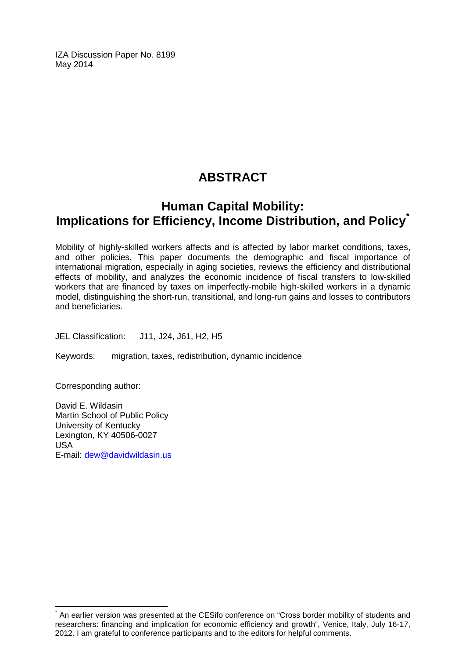IZA Discussion Paper No. 8199 May 2014

# **ABSTRACT**

# **Human Capital Mobility: Implications for Efficiency, Income Distribution, and Policy[\\*](#page-1-0)**

Mobility of highly-skilled workers affects and is affected by labor market conditions, taxes, and other policies. This paper documents the demographic and fiscal importance of international migration, especially in aging societies, reviews the efficiency and distributional effects of mobility, and analyzes the economic incidence of fiscal transfers to low-skilled workers that are financed by taxes on imperfectly-mobile high-skilled workers in a dynamic model, distinguishing the short-run, transitional, and long-run gains and losses to contributors and beneficiaries.

JEL Classification: J11, J24, J61, H2, H5

Keywords: migration, taxes, redistribution, dynamic incidence

Corresponding author:

David E. Wildasin Martin School of Public Policy University of Kentucky Lexington, KY 40506-0027 USA E-mail: [dew@davidwildasin.us](mailto:dew@davidwildasin.us)

An earlier version was presented at the CESifo conference on "Cross border mobility of students and researchers: financing and implication for economic efficiency and growth", Venice, Italy, July 16-17, 2012. I am grateful to conference participants and to the editors for helpful comments.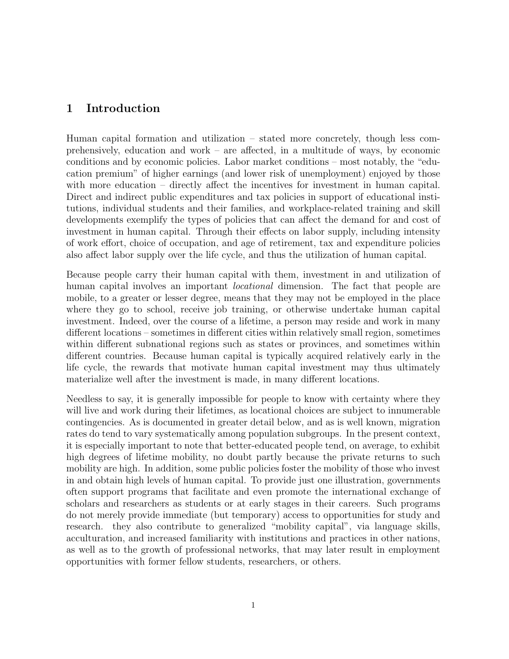### 1 Introduction

Human capital formation and utilization – stated more concretely, though less comprehensively, education and work – are affected, in a multitude of ways, by economic conditions and by economic policies. Labor market conditions – most notably, the "education premium" of higher earnings (and lower risk of unemployment) enjoyed by those with more education – directly affect the incentives for investment in human capital. Direct and indirect public expenditures and tax policies in support of educational institutions, individual students and their families, and workplace-related training and skill developments exemplify the types of policies that can affect the demand for and cost of investment in human capital. Through their effects on labor supply, including intensity of work effort, choice of occupation, and age of retirement, tax and expenditure policies also affect labor supply over the life cycle, and thus the utilization of human capital.

Because people carry their human capital with them, investment in and utilization of human capital involves an important *locational* dimension. The fact that people are mobile, to a greater or lesser degree, means that they may not be employed in the place where they go to school, receive job training, or otherwise undertake human capital investment. Indeed, over the course of a lifetime, a person may reside and work in many different locations – sometimes in different cities within relatively small region, sometimes within different subnational regions such as states or provinces, and sometimes within different countries. Because human capital is typically acquired relatively early in the life cycle, the rewards that motivate human capital investment may thus ultimately materialize well after the investment is made, in many different locations.

Needless to say, it is generally impossible for people to know with certainty where they will live and work during their lifetimes, as locational choices are subject to innumerable contingencies. As is documented in greater detail below, and as is well known, migration rates do tend to vary systematically among population subgroups. In the present context, it is especially important to note that better-educated people tend, on average, to exhibit high degrees of lifetime mobility, no doubt partly because the private returns to such mobility are high. In addition, some public policies foster the mobility of those who invest in and obtain high levels of human capital. To provide just one illustration, governments often support programs that facilitate and even promote the international exchange of scholars and researchers as students or at early stages in their careers. Such programs do not merely provide immediate (but temporary) access to opportunities for study and research. they also contribute to generalized "mobility capital", via language skills, acculturation, and increased familiarity with institutions and practices in other nations, as well as to the growth of professional networks, that may later result in employment opportunities with former fellow students, researchers, or others.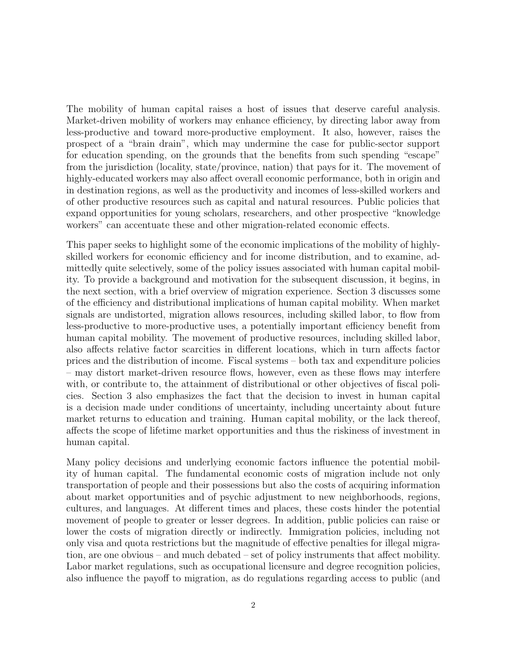The mobility of human capital raises a host of issues that deserve careful analysis. Market-driven mobility of workers may enhance efficiency, by directing labor away from less-productive and toward more-productive employment. It also, however, raises the prospect of a "brain drain", which may undermine the case for public-sector support for education spending, on the grounds that the benefits from such spending "escape" from the jurisdiction (locality, state/province, nation) that pays for it. The movement of highly-educated workers may also affect overall economic performance, both in origin and in destination regions, as well as the productivity and incomes of less-skilled workers and of other productive resources such as capital and natural resources. Public policies that expand opportunities for young scholars, researchers, and other prospective "knowledge workers" can accentuate these and other migration-related economic effects.

This paper seeks to highlight some of the economic implications of the mobility of highlyskilled workers for economic efficiency and for income distribution, and to examine, admittedly quite selectively, some of the policy issues associated with human capital mobility. To provide a background and motivation for the subsequent discussion, it begins, in the next section, with a brief overview of migration experience. Section 3 discusses some of the efficiency and distributional implications of human capital mobility. When market signals are undistorted, migration allows resources, including skilled labor, to flow from less-productive to more-productive uses, a potentially important efficiency benefit from human capital mobility. The movement of productive resources, including skilled labor, also affects relative factor scarcities in different locations, which in turn affects factor prices and the distribution of income. Fiscal systems – both tax and expenditure policies – may distort market-driven resource flows, however, even as these flows may interfere with, or contribute to, the attainment of distributional or other objectives of fiscal policies. Section 3 also emphasizes the fact that the decision to invest in human capital is a decision made under conditions of uncertainty, including uncertainty about future market returns to education and training. Human capital mobility, or the lack thereof, affects the scope of lifetime market opportunities and thus the riskiness of investment in human capital.

Many policy decisions and underlying economic factors influence the potential mobility of human capital. The fundamental economic costs of migration include not only transportation of people and their possessions but also the costs of acquiring information about market opportunities and of psychic adjustment to new neighborhoods, regions, cultures, and languages. At different times and places, these costs hinder the potential movement of people to greater or lesser degrees. In addition, public policies can raise or lower the costs of migration directly or indirectly. Immigration policies, including not only visa and quota restrictions but the magnitude of effective penalties for illegal migration, are one obvious – and much debated – set of policy instruments that affect mobility. Labor market regulations, such as occupational licensure and degree recognition policies, also influence the payoff to migration, as do regulations regarding access to public (and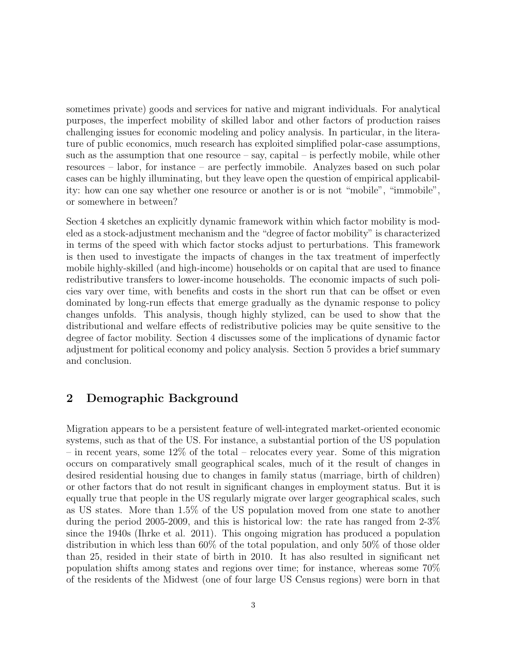sometimes private) goods and services for native and migrant individuals. For analytical purposes, the imperfect mobility of skilled labor and other factors of production raises challenging issues for economic modeling and policy analysis. In particular, in the literature of public economics, much research has exploited simplified polar-case assumptions, such as the assumption that one resource  $-$  say, capital  $-$  is perfectly mobile, while other resources – labor, for instance – are perfectly immobile. Analyzes based on such polar cases can be highly illuminating, but they leave open the question of empirical applicability: how can one say whether one resource or another is or is not "mobile", "immobile", or somewhere in between?

Section 4 sketches an explicitly dynamic framework within which factor mobility is modeled as a stock-adjustment mechanism and the "degree of factor mobility" is characterized in terms of the speed with which factor stocks adjust to perturbations. This framework is then used to investigate the impacts of changes in the tax treatment of imperfectly mobile highly-skilled (and high-income) households or on capital that are used to finance redistributive transfers to lower-income households. The economic impacts of such policies vary over time, with benefits and costs in the short run that can be offset or even dominated by long-run effects that emerge gradually as the dynamic response to policy changes unfolds. This analysis, though highly stylized, can be used to show that the distributional and welfare effects of redistributive policies may be quite sensitive to the degree of factor mobility. Section 4 discusses some of the implications of dynamic factor adjustment for political economy and policy analysis. Section 5 provides a brief summary and conclusion.

### 2 Demographic Background

Migration appears to be a persistent feature of well-integrated market-oriented economic systems, such as that of the US. For instance, a substantial portion of the US population – in recent years, some 12% of the total – relocates every year. Some of this migration occurs on comparatively small geographical scales, much of it the result of changes in desired residential housing due to changes in family status (marriage, birth of children) or other factors that do not result in significant changes in employment status. But it is equally true that people in the US regularly migrate over larger geographical scales, such as US states. More than 1.5% of the US population moved from one state to another during the period 2005-2009, and this is historical low: the rate has ranged from 2-3% since the 1940s (Ihrke et al. 2011). This ongoing migration has produced a population distribution in which less than 60% of the total population, and only 50% of those older than 25, resided in their state of birth in 2010. It has also resulted in significant net population shifts among states and regions over time; for instance, whereas some 70% of the residents of the Midwest (one of four large US Census regions) were born in that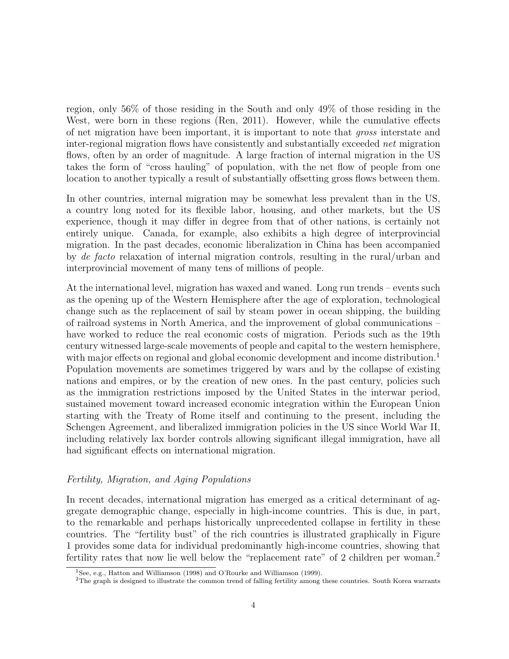region, only 56% of those residing in the South and only 49% of those residing in the West, were born in these regions (Ren, 2011). However, while the cumulative effects of net migration have been important, it is important to note that gross interstate and inter-regional migration flows have consistently and substantially exceeded net migration flows, often by an order of magnitude. A large fraction of internal migration in the US takes the form of "cross hauling" of population, with the net flow of people from one location to another typically a result of substantially offsetting gross flows between them.

In other countries, internal migration may be somewhat less prevalent than in the US, a country long noted for its flexible labor, housing, and other markets, but the US experience, though it may differ in degree from that of other nations, is certainly not entirely unique. Canada, for example, also exhibits a high degree of interprovincial migration. In the past decades, economic liberalization in China has been accompanied by de facto relaxation of internal migration controls, resulting in the rural/urban and interprovincial movement of many tens of millions of people.

At the international level, migration has waxed and waned. Long run trends – events such as the opening up of the Western Hemisphere after the age of exploration, technological change such as the replacement of sail by steam power in ocean shipping, the building of railroad systems in North America, and the improvement of global communications – have worked to reduce the real economic costs of migration. Periods such as the 19th century witnessed large-scale movements of people and capital to the western hemisphere, with major effects on regional and global economic development and income distribution.<sup>1</sup> Population movements are sometimes triggered by wars and by the collapse of existing nations and empires, or by the creation of new ones. In the past century, policies such as the immigration restrictions imposed by the United States in the interwar period, sustained movement toward increased economic integration within the European Union starting with the Treaty of Rome itself and continuing to the present, including the Schengen Agreement, and liberalized immigration policies in the US since World War II, including relatively lax border controls allowing significant illegal immigration, have all had significant effects on international migration.

#### Fertility, Migration, and Aging Populations

In recent decades, international migration has emerged as a critical determinant of aggregate demographic change, especially in high-income countries. This is due, in part, to the remarkable and perhaps historically unprecedented collapse in fertility in these countries. The "fertility bust" of the rich countries is illustrated graphically in Figure 1 provides some data for individual predominantly high-income countries, showing that fertility rates that now lie well below the "replacement rate" of 2 children per woman.<sup>2</sup>

<sup>&</sup>lt;sup>1</sup>See, e.g., Hatton and Williamson (1998) and O'Rourke and Williamson (1999).

<sup>2</sup>The graph is designed to illustrate the common trend of falling fertility among these countries. South Korea warrants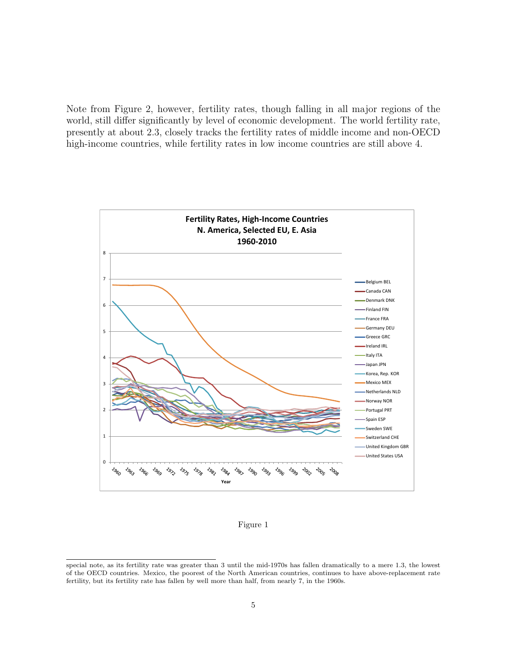Note from Figure 2, however, fertility rates, though falling in all major regions of the world, still differ significantly by level of economic development. The world fertility rate, presently at about 2.3, closely tracks the fertility rates of middle income and non-OECD high-income countries, while fertility rates in low income countries are still above 4.



Figure 1

special note, as its fertility rate was greater than 3 until the mid-1970s has fallen dramatically to a mere 1.3, the lowest of the OECD countries. Mexico, the poorest of the North American countries, continues to have above-replacement rate fertility, but its fertility rate has fallen by well more than half, from nearly 7, in the 1960s.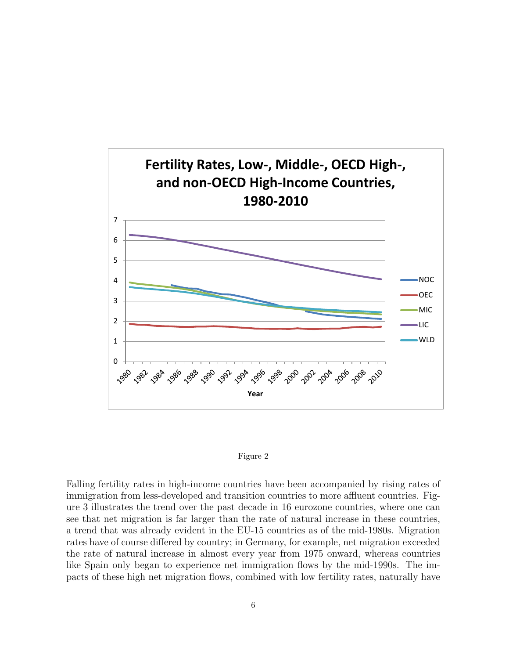



Falling fertility rates in high-income countries have been accompanied by rising rates of immigration from less-developed and transition countries to more affluent countries. Figure 3 illustrates the trend over the past decade in 16 eurozone countries, where one can see that net migration is far larger than the rate of natural increase in these countries, a trend that was already evident in the EU-15 countries as of the mid-1980s. Migration rates have of course differed by country; in Germany, for example, net migration exceeded the rate of natural increase in almost every year from 1975 onward, whereas countries like Spain only began to experience net immigration flows by the mid-1990s. The impacts of these high net migration flows, combined with low fertility rates, naturally have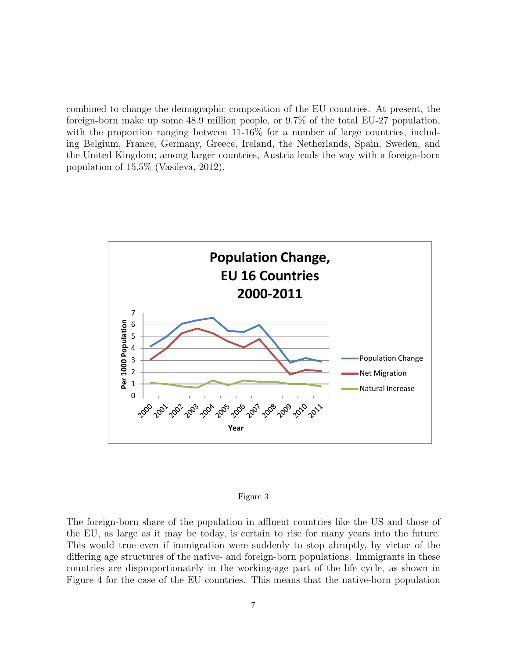combined to change the demographic composition of the EU countries. At present, the foreign-born make up some 48.9 million people, or 9.7% of the total EU-27 population, with the proportion ranging between 11-16% for a number of large countries, including Belgium, France, Germany, Greece, Ireland, the Netherlands, Spain, Sweden, and the United Kingdom; among larger countries, Austria leads the way with a foreign-born population of 15.5% (Vasileva, 2012).



#### Figure 3

The foreign-born share of the population in affluent countries like the US and those of the EU, as large as it may be today, is certain to rise for many years into the future. This would true even if immigration were suddenly to stop abruptly, by virtue of the differing age structures of the native- and foreign-born populations. Immigrants in these countries are disproportionately in the working-age part of the life cycle, as shown in Figure 4 for the case of the EU countries. This means that the native-born population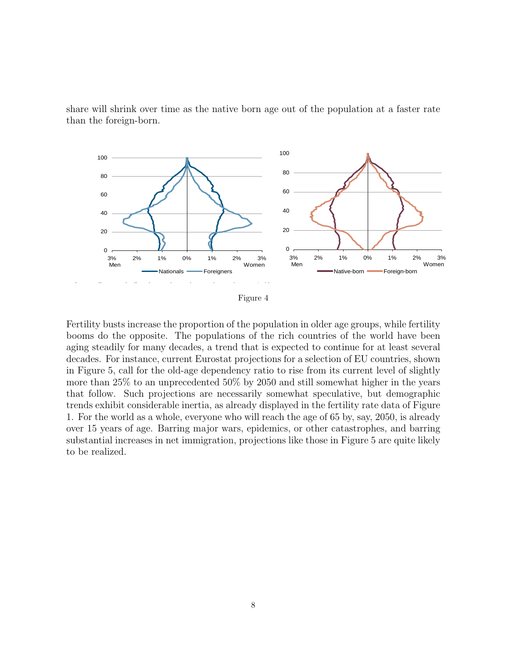share will shrink over time as the native born age out of the population at a faster rate than the foreign-born.



 $\rm_{Fig}$ Figure 4

Fertility busts increase the proportion of the population in older age groups, while fertility booms do the opposite. The populations of the rich countries of the world have been ooms do the opposite. The populations of  $\sum_{i=1}^{\infty}$  steadily for many decades, a trend-that is decades. For instance, current Eurostat projections for a selection of EU countries, shown Figure 5, call for the old-age dependency ratio to rise from its current level of slightly more than 25% to an unprecedented 50% by 2050 and still somewhat higher in the years The median age of the foreign projections are increased in trends exhibit considerable inertia, as already displayed in the fertility rate data of Figure For the world as a whole, everyone who will reach the age of 65 by, say, 2050, is already over 15 years of age. Barring major wars, epidemics, or other catastrophes, and barring ibstantial increases in net immigration, projections like those in Figure 5 are quite likely to be realized. booms do the opposite. The populations of the Hen countries of the world have been<br>aging steadily for many decades, a trend that is expected to continue for at least several in Figure 5, call for the old-age dependency ratio to rise from its current level of slightly  $\omega$ that follow. Such projections are necessarily somewhat speculative, but demographic 1. For the world as a whole, everyone who will reach the age of 65 by, say, 2050, is already substantial increases in net immigration, projections like those in Figure 5 are quite likely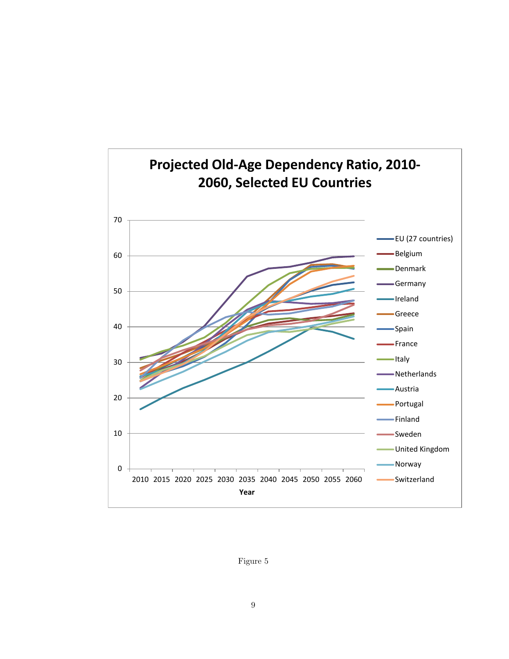

Figure 5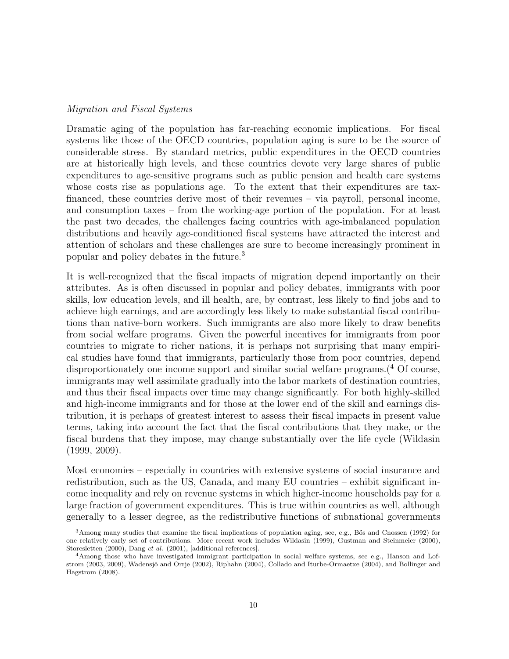#### Migration and Fiscal Systems

Dramatic aging of the population has far-reaching economic implications. For fiscal systems like those of the OECD countries, population aging is sure to be the source of considerable stress. By standard metrics, public expenditures in the OECD countries are at historically high levels, and these countries devote very large shares of public expenditures to age-sensitive programs such as public pension and health care systems whose costs rise as populations age. To the extent that their expenditures are taxfinanced, these countries derive most of their revenues – via payroll, personal income, and consumption taxes – from the working-age portion of the population. For at least the past two decades, the challenges facing countries with age-imbalanced population distributions and heavily age-conditioned fiscal systems have attracted the interest and attention of scholars and these challenges are sure to become increasingly prominent in popular and policy debates in the future.<sup>3</sup>

It is well-recognized that the fiscal impacts of migration depend importantly on their attributes. As is often discussed in popular and policy debates, immigrants with poor skills, low education levels, and ill health, are, by contrast, less likely to find jobs and to achieve high earnings, and are accordingly less likely to make substantial fiscal contributions than native-born workers. Such immigrants are also more likely to draw benefits from social welfare programs. Given the powerful incentives for immigrants from poor countries to migrate to richer nations, it is perhaps not surprising that many empirical studies have found that immigrants, particularly those from poor countries, depend disproportionately one income support and similar social welfare programs.<sup>(4</sup> Of course, immigrants may well assimilate gradually into the labor markets of destination countries, and thus their fiscal impacts over time may change significantly. For both highly-skilled and high-income immigrants and for those at the lower end of the skill and earnings distribution, it is perhaps of greatest interest to assess their fiscal impacts in present value terms, taking into account the fact that the fiscal contributions that they make, or the fiscal burdens that they impose, may change substantially over the life cycle (Wildasin (1999, 2009).

Most economies – especially in countries with extensive systems of social insurance and redistribution, such as the US, Canada, and many EU countries – exhibit significant income inequality and rely on revenue systems in which higher-income households pay for a large fraction of government expenditures. This is true within countries as well, although generally to a lesser degree, as the redistributive functions of subnational governments

<sup>&</sup>lt;sup>3</sup> Among many studies that examine the fiscal implications of population aging, see, e.g., Bös and Cnossen (1992) for one relatively early set of contributions. More recent work includes Wildasin (1999), Gustman and Steinmeier (2000), Storesletten (2000), Dang et al. (2001), [additional references].

<sup>&</sup>lt;sup>4</sup>Among those who have investigated immigrant participation in social welfare systems, see e.g., Hanson and Lofstrom (2003, 2009), Wadensjö and Orrje (2002), Riphahn (2004), Collado and Iturbe-Ormaetxe (2004), and Bollinger and Hagstrom (2008).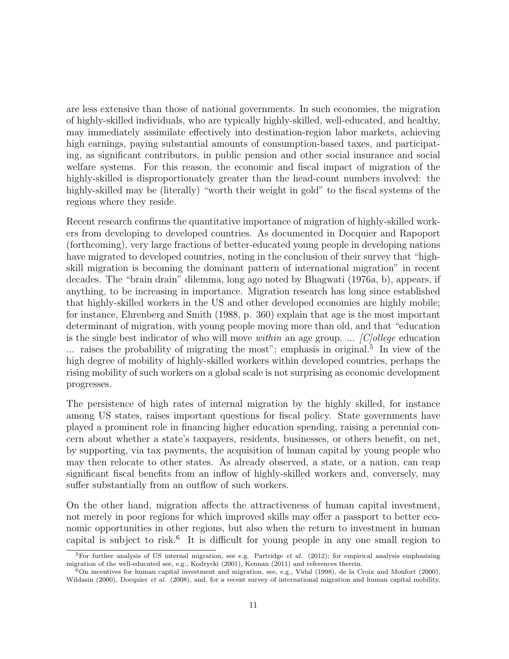are less extensive than those of national governments. In such economies, the migration of highly-skilled individuals, who are typically highly-skilled, well-educated, and healthy, may immediately assimilate effectively into destination-region labor markets, achieving high earnings, paying substantial amounts of consumption-based taxes, and participating, as significant contributors, in public pension and other social insurance and social welfare systems. For this reason, the economic and fiscal impact of migration of the highly-skilled is disproportionately greater than the head-count numbers involved: the highly-skilled may be (literally) "worth their weight in gold" to the fiscal systems of the regions where they reside.

Recent research confirms the quantitative importance of migration of highly-skilled workers from developing to developed countries. As documented in Docquier and Rapoport (forthcoming), very large fractions of better-educated young people in developing nations have migrated to developed countries, noting in the conclusion of their survey that "highskill migration is becoming the dominant pattern of international migration" in recent decades. The "brain drain" dilemma, long ago noted by Bhagwati (1976a, b), appears, if anything, to be increasing in importance. Migration research has long since established that highly-skilled workers in the US and other developed economies are highly mobile; for instance, Ehrenberg and Smith (1988, p. 360) explain that age is the most important determinant of migration, with young people moving more than old, and that "education is the single best indicator of who will move within an age group. ...  $|C|$ ollege education ... raises the probability of migrating the most"; emphasis in original.<sup>5</sup> In view of the high degree of mobility of highly-skilled workers within developed countries, perhaps the rising mobility of such workers on a global scale is not surprising as economic development progresses.

The persistence of high rates of internal migration by the highly skilled, for instance among US states, raises important questions for fiscal policy. State governments have played a prominent role in financing higher education spending, raising a perennial concern about whether a state's taxpayers, residents, businesses, or others benefit, on net, by supporting, via tax payments, the acquisition of human capital by young people who may then relocate to other states. As already observed, a state, or a nation, can reap significant fiscal benefits from an inflow of highly-skilled workers and, conversely, may suffer substantially from an outflow of such workers.

On the other hand, migration affects the attractiveness of human capital investment, not merely in poor regions for which improved skills may offer a passport to better economic opportunities in other regions, but also when the return to investment in human capital is subject to risk.<sup>6</sup> It is difficult for young people in any one small region to

<sup>&</sup>lt;sup>5</sup>For further analysis of US internal migration, see e.g. Partridge *et al.* (2012); for empirical analysis emphasizing migration of the well-educated see, e.g., Kodrycki (2001), Kennan (2011) and references therein.

 $6$ On incentives for human capital investment and migration, see, e.g., Vidal (1998), de la Croix and Monfort (2000), Wildasin (2000), Docquier et al. (2008), and, for a recent survey of international migration and human capital mobility,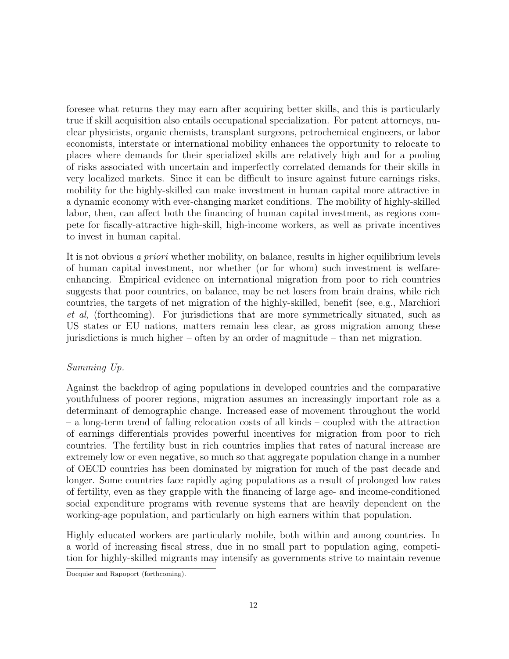foresee what returns they may earn after acquiring better skills, and this is particularly true if skill acquisition also entails occupational specialization. For patent attorneys, nuclear physicists, organic chemists, transplant surgeons, petrochemical engineers, or labor economists, interstate or international mobility enhances the opportunity to relocate to places where demands for their specialized skills are relatively high and for a pooling of risks associated with uncertain and imperfectly correlated demands for their skills in very localized markets. Since it can be difficult to insure against future earnings risks, mobility for the highly-skilled can make investment in human capital more attractive in a dynamic economy with ever-changing market conditions. The mobility of highly-skilled labor, then, can affect both the financing of human capital investment, as regions compete for fiscally-attractive high-skill, high-income workers, as well as private incentives to invest in human capital.

It is not obvious a priori whether mobility, on balance, results in higher equilibrium levels of human capital investment, nor whether (or for whom) such investment is welfareenhancing. Empirical evidence on international migration from poor to rich countries suggests that poor countries, on balance, may be net losers from brain drains, while rich countries, the targets of net migration of the highly-skilled, benefit (see, e.g., Marchiori et al, (forthcoming). For jurisdictions that are more symmetrically situated, such as US states or EU nations, matters remain less clear, as gross migration among these jurisdictions is much higher – often by an order of magnitude – than net migration.

#### Summing Up.

Against the backdrop of aging populations in developed countries and the comparative youthfulness of poorer regions, migration assumes an increasingly important role as a determinant of demographic change. Increased ease of movement throughout the world – a long-term trend of falling relocation costs of all kinds – coupled with the attraction of earnings differentials provides powerful incentives for migration from poor to rich countries. The fertility bust in rich countries implies that rates of natural increase are extremely low or even negative, so much so that aggregate population change in a number of OECD countries has been dominated by migration for much of the past decade and longer. Some countries face rapidly aging populations as a result of prolonged low rates of fertility, even as they grapple with the financing of large age- and income-conditioned social expenditure programs with revenue systems that are heavily dependent on the working-age population, and particularly on high earners within that population.

Highly educated workers are particularly mobile, both within and among countries. In a world of increasing fiscal stress, due in no small part to population aging, competition for highly-skilled migrants may intensify as governments strive to maintain revenue

Docquier and Rapoport (forthcoming).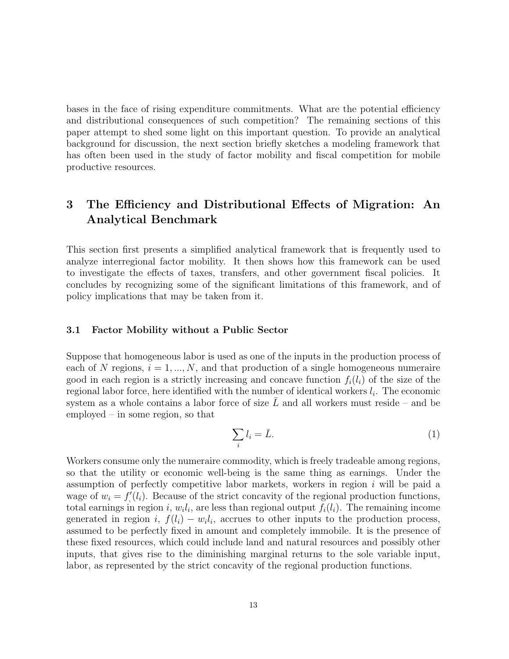bases in the face of rising expenditure commitments. What are the potential efficiency and distributional consequences of such competition? The remaining sections of this paper attempt to shed some light on this important question. To provide an analytical background for discussion, the next section briefly sketches a modeling framework that has often been used in the study of factor mobility and fiscal competition for mobile productive resources.

### 3 The Efficiency and Distributional Effects of Migration: An Analytical Benchmark

This section first presents a simplified analytical framework that is frequently used to analyze interregional factor mobility. It then shows how this framework can be used to investigate the effects of taxes, transfers, and other government fiscal policies. It concludes by recognizing some of the significant limitations of this framework, and of policy implications that may be taken from it.

#### 3.1 Factor Mobility without a Public Sector

Suppose that homogeneous labor is used as one of the inputs in the production process of each of N regions,  $i = 1, ..., N$ , and that production of a single homogeneous numeraire good in each region is a strictly increasing and concave function  $f_i(l_i)$  of the size of the regional labor force, here identified with the number of identical workers  $l_i$ . The economic system as a whole contains a labor force of size  $L$  and all workers must reside – and be employed – in some region, so that

$$
\sum_{i} l_i = \bar{L}.\tag{1}
$$

Workers consume only the numeraire commodity, which is freely tradeable among regions, so that the utility or economic well-being is the same thing as earnings. Under the assumption of perfectly competitive labor markets, workers in region i will be paid a wage of  $w_i = f_i'(l_i)$ . Because of the strict concavity of the regional production functions, total earnings in region i,  $w_i l_i$ , are less than regional output  $f_i(l_i)$ . The remaining income generated in region i,  $f(l_i) - w_i l_i$ , accrues to other inputs to the production process, assumed to be perfectly fixed in amount and completely immobile. It is the presence of these fixed resources, which could include land and natural resources and possibly other inputs, that gives rise to the diminishing marginal returns to the sole variable input, labor, as represented by the strict concavity of the regional production functions.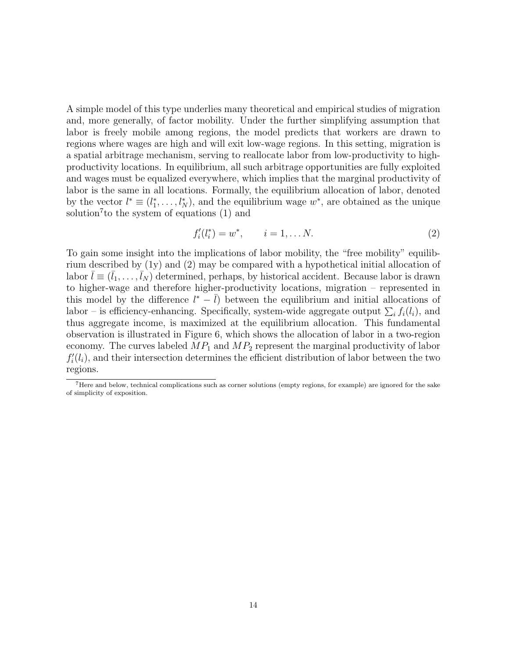A simple model of this type underlies many theoretical and empirical studies of migration and, more generally, of factor mobility. Under the further simplifying assumption that labor is freely mobile among regions, the model predicts that workers are drawn to regions where wages are high and will exit low-wage regions. In this setting, migration is a spatial arbitrage mechanism, serving to reallocate labor from low-productivity to highproductivity locations. In equilibrium, all such arbitrage opportunities are fully exploited and wages must be equalized everywhere, which implies that the marginal productivity of labor is the same in all locations. Formally, the equilibrium allocation of labor, denoted by the vector  $l^* \equiv (l_1^*, \ldots, l_N^*)$ , and the equilibrium wage  $w^*$ , are obtained as the unique solution<sup>7</sup> to the system of equations (1) and

$$
f_i'(l_i^*) = w^*, \qquad i = 1, \dots N. \tag{2}
$$

To gain some insight into the implications of labor mobility, the "free mobility" equilibrium described by (1y) and (2) may be compared with a hypothetical initial allocation of labor  $\bar{l} \equiv (\bar{l}_1, \ldots, \bar{l}_N)$  determined, perhaps, by historical accident. Because labor is drawn to higher-wage and therefore higher-productivity locations, migration – represented in this model by the difference  $l^* - \bar{l}$ ) between the equilibrium and initial allocations of labor – is efficiency-enhancing. Specifically, system-wide aggregate output  $\sum_i f_i(l_i)$ , and thus aggregate income, is maximized at the equilibrium allocation. This fundamental observation is illustrated in Figure 6, which shows the allocation of labor in a two-region economy. The curves labeled  $MP_1$  and  $MP_2$  represent the marginal productivity of labor  $f'_{i}(l_i)$ , and their intersection determines the efficient distribution of labor between the two regions.

<sup>7</sup>Here and below, technical complications such as corner solutions (empty regions, for example) are ignored for the sake of simplicity of exposition.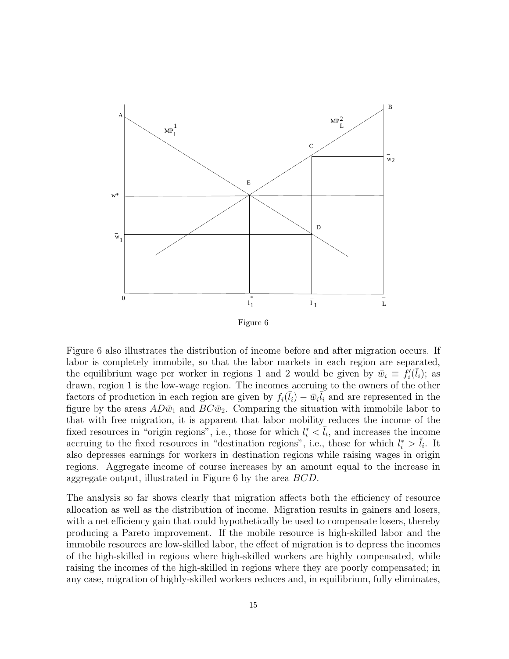

Figure 6 also illustrates the distribution of income before and after migration occurs. If labor is completely immobile, so that the labor markets in each region are separated, the equilibrium wage per worker in regions 1 and 2 would be given by  $\bar{w}_i \equiv f'_i(\bar{l}_i)$ ; as drawn, region 1 is the low-wage region. The incomes accruing to the owners of the other factors of production in each region are given by  $f_i(\bar{l}_i) - \bar{w}_i \bar{l}_i$  and are represented in the figure by the areas  $AD\bar{w}_1$  and  $BC\bar{w}_2$ . Comparing the situation with immobile labor to that with free migration, it is apparent that labor mobility reduces the income of the fixed resources in "origin regions", i.e., those for which  $l_i^* < \bar{l}_i$ , and increases the income accruing to the fixed resources in "destination regions", i.e., those for which  $l_i^* > \bar{l}_i$ . It also depresses earnings for workers in destination regions while raising wages in origin regions. Aggregate income of course increases by an amount equal to the increase in aggregate output, illustrated in Figure 6 by the area BCD.

The analysis so far shows clearly that migration affects both the efficiency of resource allocation as well as the distribution of income. Migration results in gainers and losers, with a net efficiency gain that could hypothetically be used to compensate losers, thereby producing a Pareto improvement. If the mobile resource is high-skilled labor and the immobile resources are low-skilled labor, the effect of migration is to depress the incomes of the high-skilled in regions where high-skilled workers are highly compensated, while raising the incomes of the high-skilled in regions where they are poorly compensated; in any case, migration of highly-skilled workers reduces and, in equilibrium, fully eliminates,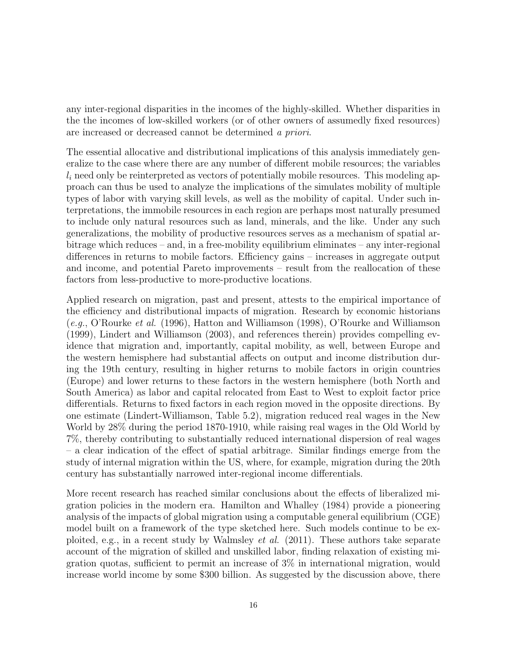any inter-regional disparities in the incomes of the highly-skilled. Whether disparities in the the incomes of low-skilled workers (or of other owners of assumedly fixed resources) are increased or decreased cannot be determined a priori.

The essential allocative and distributional implications of this analysis immediately generalize to the case where there are any number of different mobile resources; the variables  $l_i$  need only be reinterpreted as vectors of potentially mobile resources. This modeling approach can thus be used to analyze the implications of the simulates mobility of multiple types of labor with varying skill levels, as well as the mobility of capital. Under such interpretations, the immobile resources in each region are perhaps most naturally presumed to include only natural resources such as land, minerals, and the like. Under any such generalizations, the mobility of productive resources serves as a mechanism of spatial arbitrage which reduces – and, in a free-mobility equilibrium eliminates – any inter-regional differences in returns to mobile factors. Efficiency gains – increases in aggregate output and income, and potential Pareto improvements – result from the reallocation of these factors from less-productive to more-productive locations.

Applied research on migration, past and present, attests to the empirical importance of the efficiency and distributional impacts of migration. Research by economic historians  $(e.g., O'Rourke et al. (1996), Hatton and Williamson (1998), O'Rourke and Williamson$ (1999), Lindert and Williamson (2003), and references therein) provides compelling evidence that migration and, importantly, capital mobility, as well, between Europe and the western hemisphere had substantial affects on output and income distribution during the 19th century, resulting in higher returns to mobile factors in origin countries (Europe) and lower returns to these factors in the western hemisphere (both North and South America) as labor and capital relocated from East to West to exploit factor price differentials. Returns to fixed factors in each region moved in the opposite directions. By one estimate (Lindert-Williamson, Table 5.2), migration reduced real wages in the New World by 28% during the period 1870-1910, while raising real wages in the Old World by 7%, thereby contributing to substantially reduced international dispersion of real wages – a clear indication of the effect of spatial arbitrage. Similar findings emerge from the study of internal migration within the US, where, for example, migration during the 20th century has substantially narrowed inter-regional income differentials.

More recent research has reached similar conclusions about the effects of liberalized migration policies in the modern era. Hamilton and Whalley (1984) provide a pioneering analysis of the impacts of global migration using a computable general equilibrium (CGE) model built on a framework of the type sketched here. Such models continue to be exploited, e.g., in a recent study by Walmsley *et al.* (2011). These authors take separate account of the migration of skilled and unskilled labor, finding relaxation of existing migration quotas, sufficient to permit an increase of 3% in international migration, would increase world income by some \$300 billion. As suggested by the discussion above, there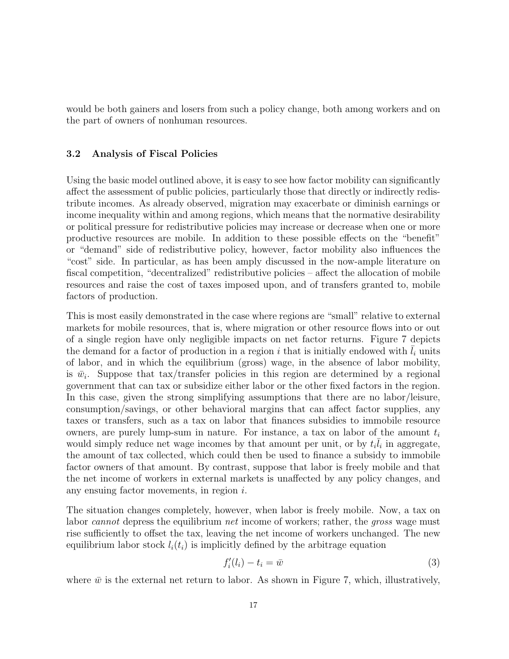would be both gainers and losers from such a policy change, both among workers and on the part of owners of nonhuman resources.

#### 3.2 Analysis of Fiscal Policies

Using the basic model outlined above, it is easy to see how factor mobility can significantly affect the assessment of public policies, particularly those that directly or indirectly redistribute incomes. As already observed, migration may exacerbate or diminish earnings or income inequality within and among regions, which means that the normative desirability or political pressure for redistributive policies may increase or decrease when one or more productive resources are mobile. In addition to these possible effects on the "benefit" or "demand" side of redistributive policy, however, factor mobility also influences the "cost" side. In particular, as has been amply discussed in the now-ample literature on fiscal competition, "decentralized" redistributive policies – affect the allocation of mobile resources and raise the cost of taxes imposed upon, and of transfers granted to, mobile factors of production.

This is most easily demonstrated in the case where regions are "small" relative to external markets for mobile resources, that is, where migration or other resource flows into or out of a single region have only negligible impacts on net factor returns. Figure 7 depicts the demand for a factor of production in a region i that is initially endowed with  $l_i$  units of labor, and in which the equilibrium (gross) wage, in the absence of labor mobility, is  $\bar{w}_i$ . Suppose that tax/transfer policies in this region are determined by a regional government that can tax or subsidize either labor or the other fixed factors in the region. In this case, given the strong simplifying assumptions that there are no labor/leisure, consumption/savings, or other behavioral margins that can affect factor supplies, any taxes or transfers, such as a tax on labor that finances subsidies to immobile resource owners, are purely lump-sum in nature. For instance, a tax on labor of the amount  $t_i$ would simply reduce net wage incomes by that amount per unit, or by  $t_i\overline{l}_i$  in aggregate, the amount of tax collected, which could then be used to finance a subsidy to immobile factor owners of that amount. By contrast, suppose that labor is freely mobile and that the net income of workers in external markets is unaffected by any policy changes, and any ensuing factor movements, in region i.

The situation changes completely, however, when labor is freely mobile. Now, a tax on labor cannot depress the equilibrium net income of workers; rather, the gross wage must rise sufficiently to offset the tax, leaving the net income of workers unchanged. The new equilibrium labor stock  $l_i(t_i)$  is implicitly defined by the arbitrage equation

$$
f_i'(l_i) - t_i = \bar{w} \tag{3}
$$

where  $\bar{w}$  is the external net return to labor. As shown in Figure 7, which, illustratively,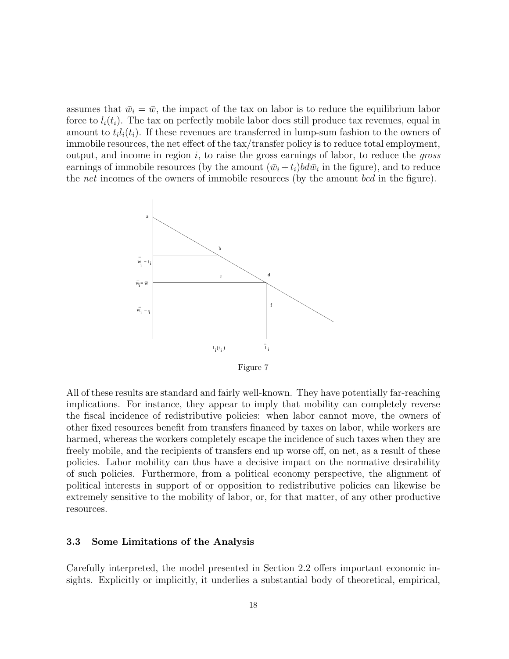assumes that  $\bar{w}_i = \bar{w}$ , the impact of the tax on labor is to reduce the equilibrium labor force to  $l_i(t_i)$ . The tax on perfectly mobile labor does still produce tax revenues, equal in amount to  $t_i l_i(t_i)$ . If these revenues are transferred in lump-sum fashion to the owners of immobile resources, the net effect of the tax/transfer policy is to reduce total employment, output, and income in region  $i$ , to raise the gross earnings of labor, to reduce the *gross* earnings of immobile resources (by the amount  $(\bar{w}_i + t_i) b d \bar{w}_i$  in the figure), and to reduce the *net* incomes of the owners of immobile resources (by the amount *bcd* in the figure).

![](_page_20_Figure_1.jpeg)

Figure 7

All of these results are standard and fairly well-known. They have potentially far-reaching implications. For instance, they appear to imply that mobility can completely reverse the fiscal incidence of redistributive policies: when labor cannot move, the owners of other fixed resources benefit from transfers financed by taxes on labor, while workers are harmed, whereas the workers completely escape the incidence of such taxes when they are freely mobile, and the recipients of transfers end up worse off, on net, as a result of these policies. Labor mobility can thus have a decisive impact on the normative desirability of such policies. Furthermore, from a political economy perspective, the alignment of political interests in support of or opposition to redistributive policies can likewise be extremely sensitive to the mobility of labor, or, for that matter, of any other productive resources.

#### 3.3 Some Limitations of the Analysis

Carefully interpreted, the model presented in Section 2.2 offers important economic insights. Explicitly or implicitly, it underlies a substantial body of theoretical, empirical,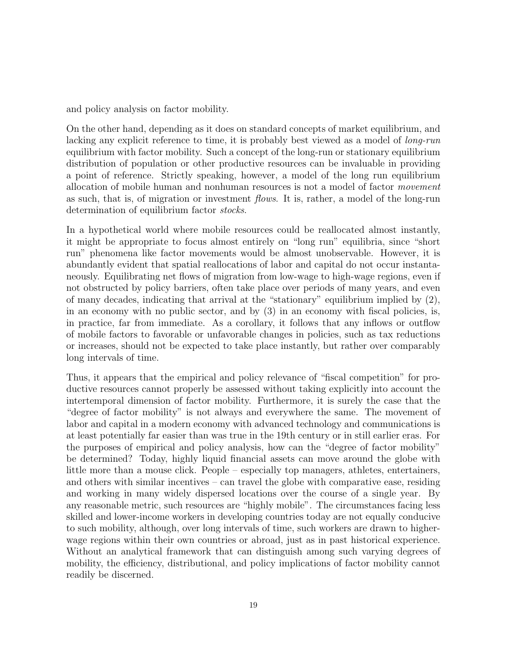and policy analysis on factor mobility.

On the other hand, depending as it does on standard concepts of market equilibrium, and lacking any explicit reference to time, it is probably best viewed as a model of *long-run* equilibrium with factor mobility. Such a concept of the long-run or stationary equilibrium distribution of population or other productive resources can be invaluable in providing a point of reference. Strictly speaking, however, a model of the long run equilibrium allocation of mobile human and nonhuman resources is not a model of factor movement as such, that is, of migration or investment flows. It is, rather, a model of the long-run determination of equilibrium factor *stocks*.

In a hypothetical world where mobile resources could be reallocated almost instantly, it might be appropriate to focus almost entirely on "long run" equilibria, since "short run" phenomena like factor movements would be almost unobservable. However, it is abundantly evident that spatial reallocations of labor and capital do not occur instantaneously. Equilibrating net flows of migration from low-wage to high-wage regions, even if not obstructed by policy barriers, often take place over periods of many years, and even of many decades, indicating that arrival at the "stationary" equilibrium implied by (2), in an economy with no public sector, and by (3) in an economy with fiscal policies, is, in practice, far from immediate. As a corollary, it follows that any inflows or outflow of mobile factors to favorable or unfavorable changes in policies, such as tax reductions or increases, should not be expected to take place instantly, but rather over comparably long intervals of time.

Thus, it appears that the empirical and policy relevance of "fiscal competition" for productive resources cannot properly be assessed without taking explicitly into account the intertemporal dimension of factor mobility. Furthermore, it is surely the case that the "degree of factor mobility" is not always and everywhere the same. The movement of labor and capital in a modern economy with advanced technology and communications is at least potentially far easier than was true in the 19th century or in still earlier eras. For the purposes of empirical and policy analysis, how can the "degree of factor mobility" be determined? Today, highly liquid financial assets can move around the globe with little more than a mouse click. People – especially top managers, athletes, entertainers, and others with similar incentives – can travel the globe with comparative ease, residing and working in many widely dispersed locations over the course of a single year. By any reasonable metric, such resources are "highly mobile". The circumstances facing less skilled and lower-income workers in developing countries today are not equally conducive to such mobility, although, over long intervals of time, such workers are drawn to higherwage regions within their own countries or abroad, just as in past historical experience. Without an analytical framework that can distinguish among such varying degrees of mobility, the efficiency, distributional, and policy implications of factor mobility cannot readily be discerned.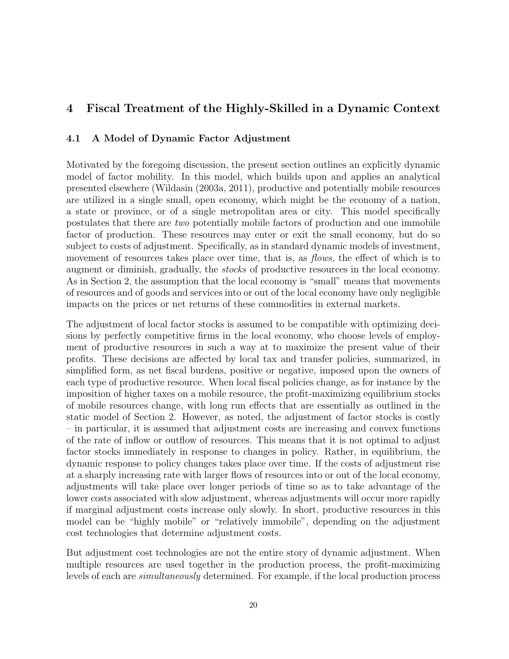### 4 Fiscal Treatment of the Highly-Skilled in a Dynamic Context

### 4.1 A Model of Dynamic Factor Adjustment

Motivated by the foregoing discussion, the present section outlines an explicitly dynamic model of factor mobility. In this model, which builds upon and applies an analytical presented elsewhere (Wildasin (2003a, 2011), productive and potentially mobile resources are utilized in a single small, open economy, which might be the economy of a nation, a state or province, or of a single metropolitan area or city. This model specifically postulates that there are two potentially mobile factors of production and one immobile factor of production. These resources may enter or exit the small economy, but do so subject to costs of adjustment. Specifically, as in standard dynamic models of investment, movement of resources takes place over time, that is, as *flows*, the effect of which is to augment or diminish, gradually, the stocks of productive resources in the local economy. As in Section 2, the assumption that the local economy is "small" means that movements of resources and of goods and services into or out of the local economy have only negligible impacts on the prices or net returns of these commodities in external markets.

The adjustment of local factor stocks is assumed to be compatible with optimizing decisions by perfectly competitive firms in the local economy, who choose levels of employment of productive resources in such a way at to maximize the present value of their profits. These decisions are affected by local tax and transfer policies, summarized, in simplified form, as net fiscal burdens, positive or negative, imposed upon the owners of each type of productive resource. When local fiscal policies change, as for instance by the imposition of higher taxes on a mobile resource, the profit-maximizing equilibrium stocks of mobile resources change, with long run effects that are essentially as outlined in the static model of Section 2. However, as noted, the adjustment of factor stocks is costly – in particular, it is assumed that adjustment costs are increasing and convex functions of the rate of inflow or outflow of resources. This means that it is not optimal to adjust factor stocks immediately in response to changes in policy. Rather, in equilibrium, the dynamic response to policy changes takes place over time. If the costs of adjustment rise at a sharply increasing rate with larger flows of resources into or out of the local economy, adjustments will take place over longer periods of time so as to take advantage of the lower costs associated with slow adjustment, whereas adjustments will occur more rapidly if marginal adjustment costs increase only slowly. In short, productive resources in this model can be "highly mobile" or "relatively immobile", depending on the adjustment cost technologies that determine adjustment costs.

But adjustment cost technologies are not the entire story of dynamic adjustment. When multiple resources are used together in the production process, the profit-maximizing levels of each are simultaneously determined. For example, if the local production process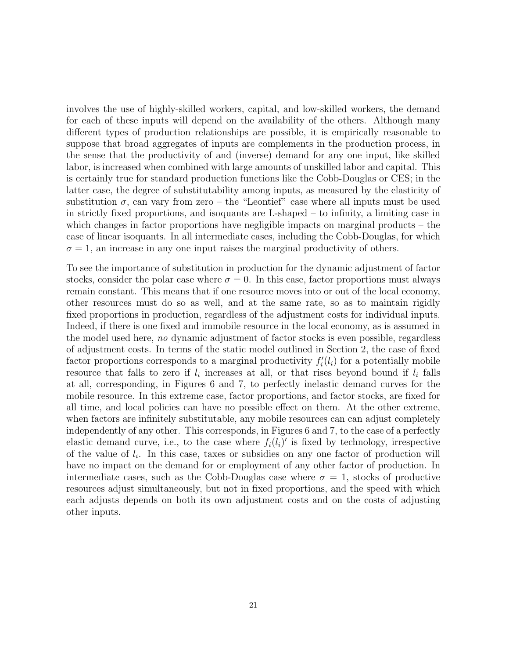involves the use of highly-skilled workers, capital, and low-skilled workers, the demand for each of these inputs will depend on the availability of the others. Although many different types of production relationships are possible, it is empirically reasonable to suppose that broad aggregates of inputs are complements in the production process, in the sense that the productivity of and (inverse) demand for any one input, like skilled labor, is increased when combined with large amounts of unskilled labor and capital. This is certainly true for standard production functions like the Cobb-Douglas or CES; in the latter case, the degree of substitutability among inputs, as measured by the elasticity of substitution  $\sigma$ , can vary from zero – the "Leontief" case where all inputs must be used in strictly fixed proportions, and isoquants are L-shaped – to infinity, a limiting case in which changes in factor proportions have negligible impacts on marginal products – the case of linear isoquants. In all intermediate cases, including the Cobb-Douglas, for which  $\sigma = 1$ , an increase in any one input raises the marginal productivity of others.

To see the importance of substitution in production for the dynamic adjustment of factor stocks, consider the polar case where  $\sigma = 0$ . In this case, factor proportions must always remain constant. This means that if one resource moves into or out of the local economy, other resources must do so as well, and at the same rate, so as to maintain rigidly fixed proportions in production, regardless of the adjustment costs for individual inputs. Indeed, if there is one fixed and immobile resource in the local economy, as is assumed in the model used here, no dynamic adjustment of factor stocks is even possible, regardless of adjustment costs. In terms of the static model outlined in Section 2, the case of fixed factor proportions corresponds to a marginal productivity  $f_i'(l_i)$  for a potentially mobile resource that falls to zero if  $l_i$  increases at all, or that rises beyond bound if  $l_i$  falls at all, corresponding, in Figures 6 and 7, to perfectly inelastic demand curves for the mobile resource. In this extreme case, factor proportions, and factor stocks, are fixed for all time, and local policies can have no possible effect on them. At the other extreme, when factors are infinitely substitutable, any mobile resources can can adjust completely independently of any other. This corresponds, in Figures 6 and 7, to the case of a perfectly elastic demand curve, i.e., to the case where  $f_i(l_i)'$  is fixed by technology, irrespective of the value of  $l_i$ . In this case, taxes or subsidies on any one factor of production will have no impact on the demand for or employment of any other factor of production. In intermediate cases, such as the Cobb-Douglas case where  $\sigma = 1$ , stocks of productive resources adjust simultaneously, but not in fixed proportions, and the speed with which each adjusts depends on both its own adjustment costs and on the costs of adjusting other inputs.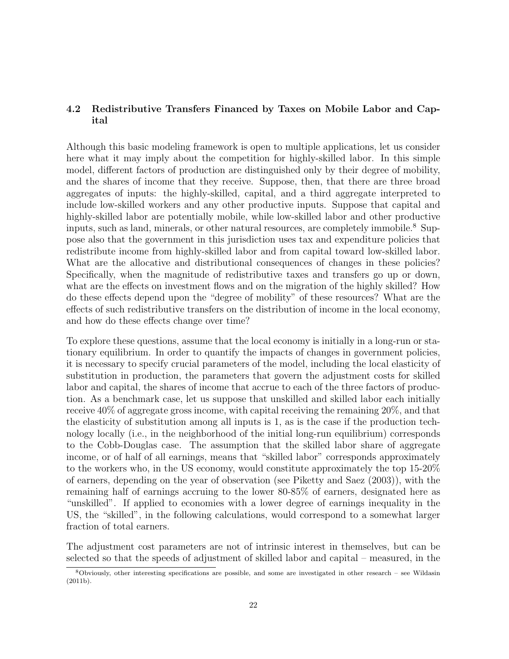#### 4.2 Redistributive Transfers Financed by Taxes on Mobile Labor and Capital

Although this basic modeling framework is open to multiple applications, let us consider here what it may imply about the competition for highly-skilled labor. In this simple model, different factors of production are distinguished only by their degree of mobility, and the shares of income that they receive. Suppose, then, that there are three broad aggregates of inputs: the highly-skilled, capital, and a third aggregate interpreted to include low-skilled workers and any other productive inputs. Suppose that capital and highly-skilled labor are potentially mobile, while low-skilled labor and other productive inputs, such as land, minerals, or other natural resources, are completely immobile.<sup>8</sup> Suppose also that the government in this jurisdiction uses tax and expenditure policies that redistribute income from highly-skilled labor and from capital toward low-skilled labor. What are the allocative and distributional consequences of changes in these policies? Specifically, when the magnitude of redistributive taxes and transfers go up or down, what are the effects on investment flows and on the migration of the highly skilled? How do these effects depend upon the "degree of mobility" of these resources? What are the effects of such redistributive transfers on the distribution of income in the local economy, and how do these effects change over time?

To explore these questions, assume that the local economy is initially in a long-run or stationary equilibrium. In order to quantify the impacts of changes in government policies, it is necessary to specify crucial parameters of the model, including the local elasticity of substitution in production, the parameters that govern the adjustment costs for skilled labor and capital, the shares of income that accrue to each of the three factors of production. As a benchmark case, let us suppose that unskilled and skilled labor each initially receive 40% of aggregate gross income, with capital receiving the remaining 20%, and that the elasticity of substitution among all inputs is 1, as is the case if the production technology locally (i.e., in the neighborhood of the initial long-run equilibrium) corresponds to the Cobb-Douglas case. The assumption that the skilled labor share of aggregate income, or of half of all earnings, means that "skilled labor" corresponds approximately to the workers who, in the US economy, would constitute approximately the top 15-20% of earners, depending on the year of observation (see Piketty and Saez (2003)), with the remaining half of earnings accruing to the lower 80-85% of earners, designated here as "unskilled". If applied to economies with a lower degree of earnings inequality in the US, the "skilled", in the following calculations, would correspond to a somewhat larger fraction of total earners.

The adjustment cost parameters are not of intrinsic interest in themselves, but can be selected so that the speeds of adjustment of skilled labor and capital – measured, in the

<sup>8</sup>Obviously, other interesting specifications are possible, and some are investigated in other research – see Wildasin (2011b).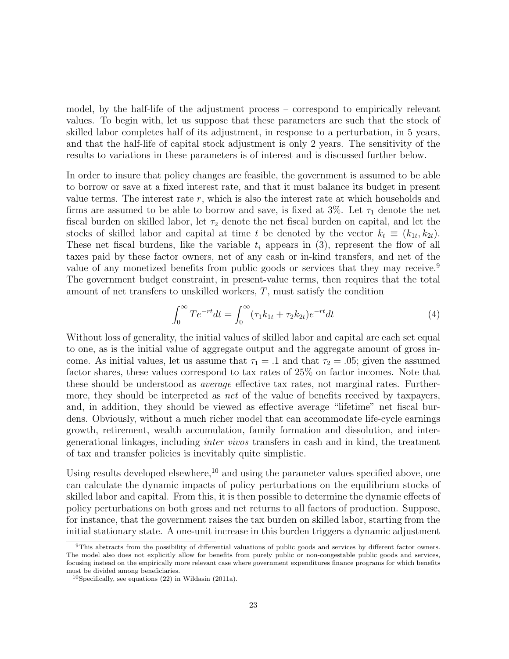model, by the half-life of the adjustment process – correspond to empirically relevant values. To begin with, let us suppose that these parameters are such that the stock of skilled labor completes half of its adjustment, in response to a perturbation, in 5 years, and that the half-life of capital stock adjustment is only 2 years. The sensitivity of the results to variations in these parameters is of interest and is discussed further below.

In order to insure that policy changes are feasible, the government is assumed to be able to borrow or save at a fixed interest rate, and that it must balance its budget in present value terms. The interest rate  $r$ , which is also the interest rate at which households and firms are assumed to be able to borrow and save, is fixed at  $3\%$ . Let  $\tau_1$  denote the net fiscal burden on skilled labor, let  $\tau_2$  denote the net fiscal burden on capital, and let the stocks of skilled labor and capital at time t be denoted by the vector  $k_t \equiv (k_{1t}, k_{2t})$ . These net fiscal burdens, like the variable  $t_i$  appears in (3), represent the flow of all taxes paid by these factor owners, net of any cash or in-kind transfers, and net of the value of any monetized benefits from public goods or services that they may receive.<sup>9</sup> The government budget constraint, in present-value terms, then requires that the total amount of net transfers to unskilled workers, T, must satisfy the condition

$$
\int_0^\infty T e^{-rt} dt = \int_0^\infty (\tau_1 k_{1t} + \tau_2 k_{2t}) e^{-rt} dt \tag{4}
$$

Without loss of generality, the initial values of skilled labor and capital are each set equal to one, as is the initial value of aggregate output and the aggregate amount of gross income. As initial values, let us assume that  $\tau_1 = .1$  and that  $\tau_2 = .05$ ; given the assumed factor shares, these values correspond to tax rates of 25% on factor incomes. Note that these should be understood as *average* effective tax rates, not marginal rates. Furthermore, they should be interpreted as *net* of the value of benefits received by taxpayers, and, in addition, they should be viewed as effective average "lifetime" net fiscal burdens. Obviously, without a much richer model that can accommodate life-cycle earnings growth, retirement, wealth accumulation, family formation and dissolution, and intergenerational linkages, including inter vivos transfers in cash and in kind, the treatment of tax and transfer policies is inevitably quite simplistic.

Using results developed elsewhere, $10$  and using the parameter values specified above, one can calculate the dynamic impacts of policy perturbations on the equilibrium stocks of skilled labor and capital. From this, it is then possible to determine the dynamic effects of policy perturbations on both gross and net returns to all factors of production. Suppose, for instance, that the government raises the tax burden on skilled labor, starting from the initial stationary state. A one-unit increase in this burden triggers a dynamic adjustment

<sup>9</sup>This abstracts from the possibility of differential valuations of public goods and services by different factor owners. The model also does not explicitly allow for benefits from purely public or non-congestable public goods and services, focusing instead on the empirically more relevant case where government expenditures finance programs for which benefits must be divided among beneficiaries.

<sup>10</sup>Specifically, see equations (22) in Wildasin (2011a).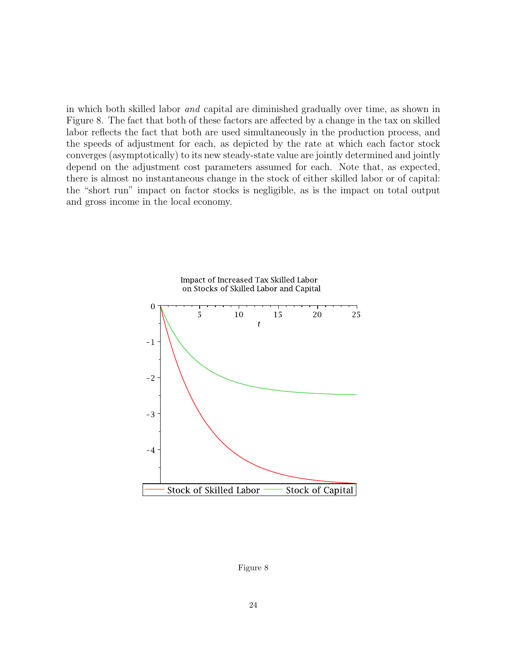in which both skilled labor and capital are diminished gradually over time, as shown in Figure 8. The fact that both of these factors are affected by a change in the tax on skilled labor reflects the fact that both are used simultaneously in the production process, and the speeds of adjustment for each, as depicted by the rate at which each factor stock converges (asymptotically) to its new steady-state value are jointly determined and jointly depend on the adjustment cost parameters assumed for each. Note that, as expected, there is almost no instantaneous change in the stock of either skilled labor or of capital: the "short run" impact on factor stocks is negligible, as is the impact on total output and gross income in the local economy.

![](_page_26_Figure_1.jpeg)

Impact of Increased Tax Skilled Labor on Stocks of Skilled Labor and Capital

Figure 8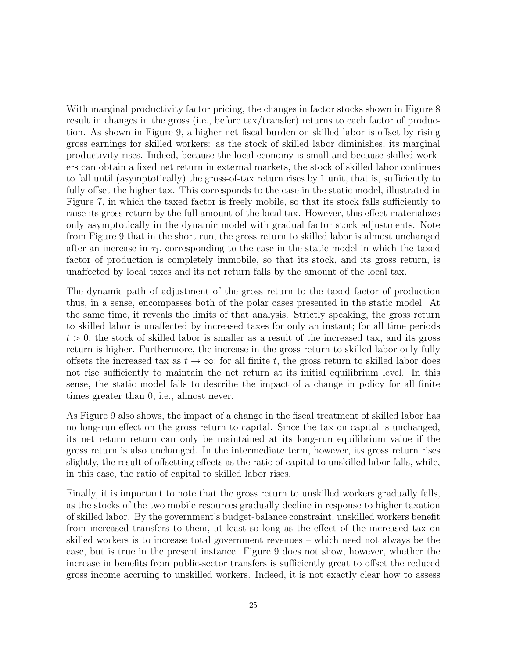With marginal productivity factor pricing, the changes in factor stocks shown in Figure 8 result in changes in the gross (i.e., before tax/transfer) returns to each factor of production. As shown in Figure 9, a higher net fiscal burden on skilled labor is offset by rising gross earnings for skilled workers: as the stock of skilled labor diminishes, its marginal productivity rises. Indeed, because the local economy is small and because skilled workers can obtain a fixed net return in external markets, the stock of skilled labor continues to fall until (asymptotically) the gross-of-tax return rises by 1 unit, that is, sufficiently to fully offset the higher tax. This corresponds to the case in the static model, illustrated in Figure 7, in which the taxed factor is freely mobile, so that its stock falls sufficiently to raise its gross return by the full amount of the local tax. However, this effect materializes only asymptotically in the dynamic model with gradual factor stock adjustments. Note from Figure 9 that in the short run, the gross return to skilled labor is almost unchanged after an increase in  $\tau_1$ , corresponding to the case in the static model in which the taxed factor of production is completely immobile, so that its stock, and its gross return, is unaffected by local taxes and its net return falls by the amount of the local tax.

The dynamic path of adjustment of the gross return to the taxed factor of production thus, in a sense, encompasses both of the polar cases presented in the static model. At the same time, it reveals the limits of that analysis. Strictly speaking, the gross return to skilled labor is unaffected by increased taxes for only an instant; for all time periods  $t > 0$ , the stock of skilled labor is smaller as a result of the increased tax, and its gross return is higher. Furthermore, the increase in the gross return to skilled labor only fully offsets the increased tax as  $t \to \infty$ ; for all finite t, the gross return to skilled labor does not rise sufficiently to maintain the net return at its initial equilibrium level. In this sense, the static model fails to describe the impact of a change in policy for all finite times greater than 0, i.e., almost never.

As Figure 9 also shows, the impact of a change in the fiscal treatment of skilled labor has no long-run effect on the gross return to capital. Since the tax on capital is unchanged, its net return return can only be maintained at its long-run equilibrium value if the gross return is also unchanged. In the intermediate term, however, its gross return rises slightly, the result of offsetting effects as the ratio of capital to unskilled labor falls, while, in this case, the ratio of capital to skilled labor rises.

Finally, it is important to note that the gross return to unskilled workers gradually falls, as the stocks of the two mobile resources gradually decline in response to higher taxation of skilled labor. By the government's budget-balance constraint, unskilled workers benefit from increased transfers to them, at least so long as the effect of the increased tax on skilled workers is to increase total government revenues – which need not always be the case, but is true in the present instance. Figure 9 does not show, however, whether the increase in benefits from public-sector transfers is sufficiently great to offset the reduced gross income accruing to unskilled workers. Indeed, it is not exactly clear how to assess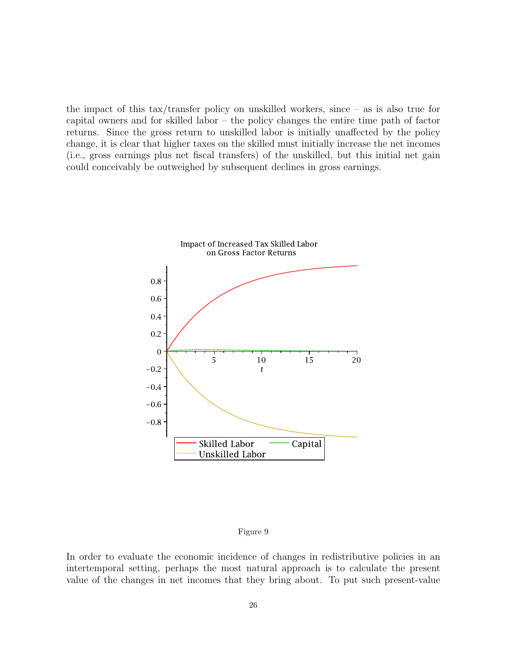the impact of this tax/transfer policy on unskilled workers, since – as is also true for capital owners and for skilled labor – the policy changes the entire time path of factor returns. Since the gross return to unskilled labor is initially unaffected by the policy change, it is clear that higher taxes on the skilled must initially increase the net incomes (i.e., gross earnings plus net fiscal transfers) of the unskilled, but this initial net gain could conceivably be outweighed by subsequent declines in gross earnings.

![](_page_28_Figure_1.jpeg)

#### Figure 9

In order to evaluate the economic incidence of changes in redistributive policies in an intertemporal setting, perhaps the most natural approach is to calculate the present value of the changes in net incomes that they bring about. To put such present-value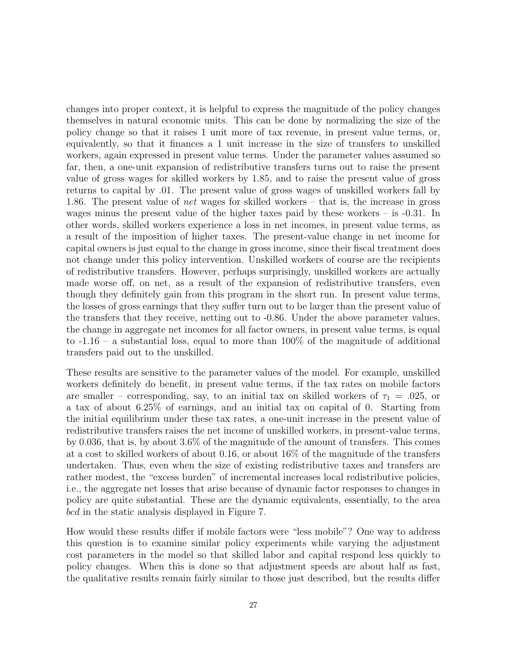changes into proper context, it is helpful to express the magnitude of the policy changes themselves in natural economic units. This can be done by normalizing the size of the policy change so that it raises 1 unit more of tax revenue, in present value terms, or, equivalently, so that it finances a 1 unit increase in the size of transfers to unskilled workers, again expressed in present value terms. Under the parameter values assumed so far, then, a one-unit expansion of redistributive transfers turns out to raise the present value of gross wages for skilled workers by 1.85, and to raise the present value of gross returns to capital by .01. The present value of gross wages of unskilled workers fall by 1.86. The present value of net wages for skilled workers – that is, the increase in gross wages minus the present value of the higher taxes paid by these workers – is -0.31. In other words, skilled workers experience a loss in net incomes, in present value terms, as a result of the imposition of higher taxes. The present-value change in net income for capital owners is just equal to the change in gross income, since their fiscal treatment does not change under this policy intervention. Unskilled workers of course are the recipients of redistributive transfers. However, perhaps surprisingly, unskilled workers are actually made worse off, on net, as a result of the expansion of redistributive transfers, even though they definitely gain from this program in the short run. In present value terms, the losses of gross earnings that they suffer turn out to be larger than the present value of the transfers that they receive, netting out to -0.86. Under the above parameter values, the change in aggregate net incomes for all factor owners, in present value terms, is equal to  $-1.16$  – a substantial loss, equal to more than 100% of the magnitude of additional transfers paid out to the unskilled.

These results are sensitive to the parameter values of the model. For example, unskilled workers definitely do benefit, in present value terms, if the tax rates on mobile factors are smaller – corresponding, say, to an initial tax on skilled workers of  $\tau_1 = .025$ , or a tax of about 6.25% of earnings, and an initial tax on capital of 0. Starting from the initial equilibrium under these tax rates, a one-unit increase in the present value of redistributive transfers raises the net income of unskilled workers, in present-value terms, by 0.036, that is, by about 3.6% of the magnitude of the amount of transfers. This comes at a cost to skilled workers of about 0.16, or about 16% of the magnitude of the transfers undertaken. Thus, even when the size of existing redistributive taxes and transfers are rather modest, the "excess burden" of incremental increases local redistributive policies, i.e., the aggregate net losses that arise because of dynamic factor responses to changes in policy are quite substantial. These are the dynamic equivalents, essentially, to the area bcd in the static analysis displayed in Figure 7.

How would these results differ if mobile factors were "less mobile"? One way to address this question is to examine similar policy experiments while varying the adjustment cost parameters in the model so that skilled labor and capital respond less quickly to policy changes. When this is done so that adjustment speeds are about half as fast, the qualitative results remain fairly similar to those just described, but the results differ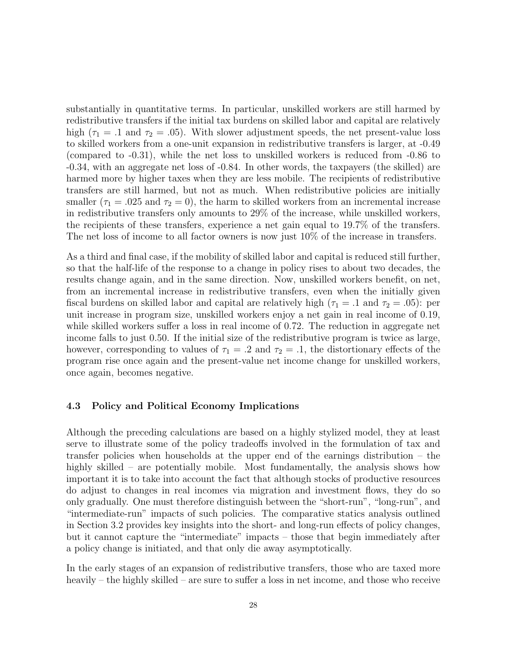substantially in quantitative terms. In particular, unskilled workers are still harmed by redistributive transfers if the initial tax burdens on skilled labor and capital are relatively high ( $\tau_1 = .1$  and  $\tau_2 = .05$ ). With slower adjustment speeds, the net present-value loss to skilled workers from a one-unit expansion in redistributive transfers is larger, at -0.49 (compared to -0.31), while the net loss to unskilled workers is reduced from -0.86 to -0.34, with an aggregate net loss of -0.84. In other words, the taxpayers (the skilled) are harmed more by higher taxes when they are less mobile. The recipients of redistributive transfers are still harmed, but not as much. When redistributive policies are initially smaller ( $\tau_1 = .025$  and  $\tau_2 = 0$ ), the harm to skilled workers from an incremental increase in redistributive transfers only amounts to 29% of the increase, while unskilled workers, the recipients of these transfers, experience a net gain equal to 19.7% of the transfers. The net loss of income to all factor owners is now just 10% of the increase in transfers.

As a third and final case, if the mobility of skilled labor and capital is reduced still further, so that the half-life of the response to a change in policy rises to about two decades, the results change again, and in the same direction. Now, unskilled workers benefit, on net, from an incremental increase in redistributive transfers, even when the initially given fiscal burdens on skilled labor and capital are relatively high ( $\tau_1 = .1$  and  $\tau_2 = .05$ ): per unit increase in program size, unskilled workers enjoy a net gain in real income of 0.19, while skilled workers suffer a loss in real income of 0.72. The reduction in aggregate net income falls to just 0.50. If the initial size of the redistributive program is twice as large, however, corresponding to values of  $\tau_1 = .2$  and  $\tau_2 = .1$ , the distortionary effects of the program rise once again and the present-value net income change for unskilled workers, once again, becomes negative.

#### 4.3 Policy and Political Economy Implications

Although the preceding calculations are based on a highly stylized model, they at least serve to illustrate some of the policy tradeoffs involved in the formulation of tax and transfer policies when households at the upper end of the earnings distribution – the highly skilled – are potentially mobile. Most fundamentally, the analysis shows how important it is to take into account the fact that although stocks of productive resources do adjust to changes in real incomes via migration and investment flows, they do so only gradually. One must therefore distinguish between the "short-run", "long-run", and "intermediate-run" impacts of such policies. The comparative statics analysis outlined in Section 3.2 provides key insights into the short- and long-run effects of policy changes, but it cannot capture the "intermediate" impacts – those that begin immediately after a policy change is initiated, and that only die away asymptotically.

In the early stages of an expansion of redistributive transfers, those who are taxed more heavily – the highly skilled – are sure to suffer a loss in net income, and those who receive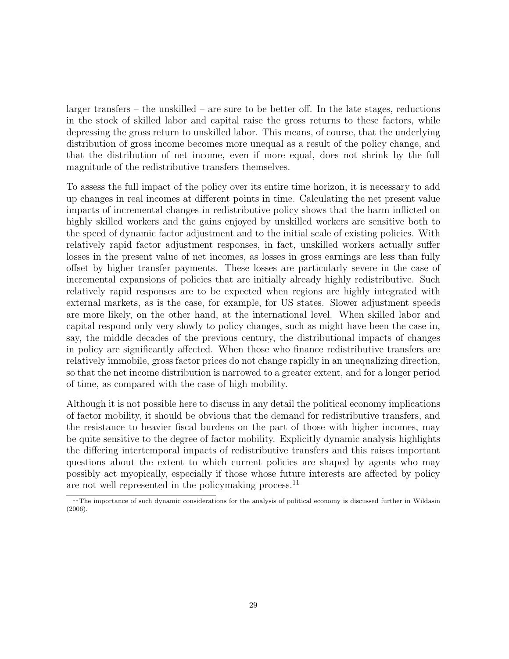larger transfers – the unskilled – are sure to be better off. In the late stages, reductions in the stock of skilled labor and capital raise the gross returns to these factors, while depressing the gross return to unskilled labor. This means, of course, that the underlying distribution of gross income becomes more unequal as a result of the policy change, and that the distribution of net income, even if more equal, does not shrink by the full magnitude of the redistributive transfers themselves.

To assess the full impact of the policy over its entire time horizon, it is necessary to add up changes in real incomes at different points in time. Calculating the net present value impacts of incremental changes in redistributive policy shows that the harm inflicted on highly skilled workers and the gains enjoyed by unskilled workers are sensitive both to the speed of dynamic factor adjustment and to the initial scale of existing policies. With relatively rapid factor adjustment responses, in fact, unskilled workers actually suffer losses in the present value of net incomes, as losses in gross earnings are less than fully offset by higher transfer payments. These losses are particularly severe in the case of incremental expansions of policies that are initially already highly redistributive. Such relatively rapid responses are to be expected when regions are highly integrated with external markets, as is the case, for example, for US states. Slower adjustment speeds are more likely, on the other hand, at the international level. When skilled labor and capital respond only very slowly to policy changes, such as might have been the case in, say, the middle decades of the previous century, the distributional impacts of changes in policy are significantly affected. When those who finance redistributive transfers are relatively immobile, gross factor prices do not change rapidly in an unequalizing direction, so that the net income distribution is narrowed to a greater extent, and for a longer period of time, as compared with the case of high mobility.

Although it is not possible here to discuss in any detail the political economy implications of factor mobility, it should be obvious that the demand for redistributive transfers, and the resistance to heavier fiscal burdens on the part of those with higher incomes, may be quite sensitive to the degree of factor mobility. Explicitly dynamic analysis highlights the differing intertemporal impacts of redistributive transfers and this raises important questions about the extent to which current policies are shaped by agents who may possibly act myopically, especially if those whose future interests are affected by policy are not well represented in the policymaking process.<sup>11</sup>

<sup>&</sup>lt;sup>11</sup>The importance of such dynamic considerations for the analysis of political economy is discussed further in Wildasin (2006).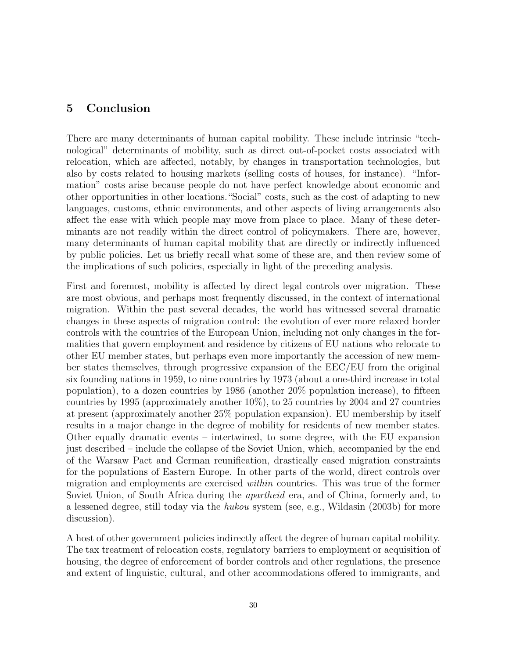### 5 Conclusion

There are many determinants of human capital mobility. These include intrinsic "technological" determinants of mobility, such as direct out-of-pocket costs associated with relocation, which are affected, notably, by changes in transportation technologies, but also by costs related to housing markets (selling costs of houses, for instance). "Information" costs arise because people do not have perfect knowledge about economic and other opportunities in other locations."Social" costs, such as the cost of adapting to new languages, customs, ethnic environments, and other aspects of living arrangements also affect the ease with which people may move from place to place. Many of these determinants are not readily within the direct control of policymakers. There are, however, many determinants of human capital mobility that are directly or indirectly influenced by public policies. Let us briefly recall what some of these are, and then review some of the implications of such policies, especially in light of the preceding analysis.

First and foremost, mobility is affected by direct legal controls over migration. These are most obvious, and perhaps most frequently discussed, in the context of international migration. Within the past several decades, the world has witnessed several dramatic changes in these aspects of migration control: the evolution of ever more relaxed border controls with the countries of the European Union, including not only changes in the formalities that govern employment and residence by citizens of EU nations who relocate to other EU member states, but perhaps even more importantly the accession of new member states themselves, through progressive expansion of the EEC/EU from the original six founding nations in 1959, to nine countries by 1973 (about a one-third increase in total population), to a dozen countries by 1986 (another 20% population increase), to fifteen countries by 1995 (approximately another 10%), to 25 countries by 2004 and 27 countries at present (approximately another 25% population expansion). EU membership by itself results in a major change in the degree of mobility for residents of new member states. Other equally dramatic events – intertwined, to some degree, with the EU expansion just described – include the collapse of the Soviet Union, which, accompanied by the end of the Warsaw Pact and German reunification, drastically eased migration constraints for the populations of Eastern Europe. In other parts of the world, direct controls over migration and employments are exercised within countries. This was true of the former Soviet Union, of South Africa during the *apartheid* era, and of China, formerly and, to a lessened degree, still today via the hukou system (see, e.g., Wildasin (2003b) for more discussion).

A host of other government policies indirectly affect the degree of human capital mobility. The tax treatment of relocation costs, regulatory barriers to employment or acquisition of housing, the degree of enforcement of border controls and other regulations, the presence and extent of linguistic, cultural, and other accommodations offered to immigrants, and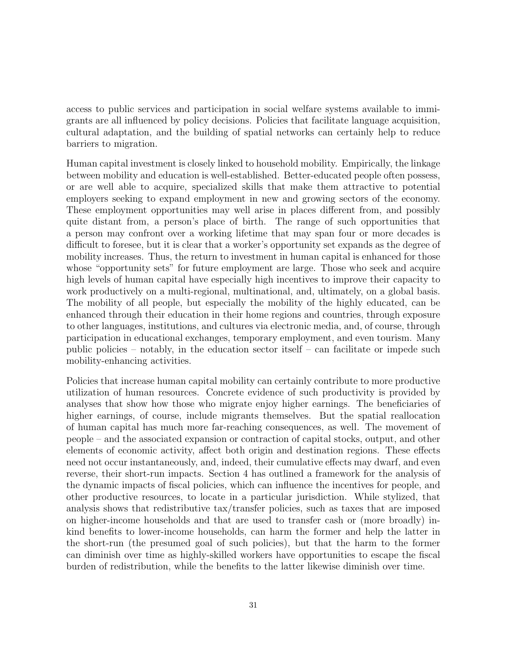access to public services and participation in social welfare systems available to immigrants are all influenced by policy decisions. Policies that facilitate language acquisition, cultural adaptation, and the building of spatial networks can certainly help to reduce barriers to migration.

Human capital investment is closely linked to household mobility. Empirically, the linkage between mobility and education is well-established. Better-educated people often possess, or are well able to acquire, specialized skills that make them attractive to potential employers seeking to expand employment in new and growing sectors of the economy. These employment opportunities may well arise in places different from, and possibly quite distant from, a person's place of birth. The range of such opportunities that a person may confront over a working lifetime that may span four or more decades is difficult to foresee, but it is clear that a worker's opportunity set expands as the degree of mobility increases. Thus, the return to investment in human capital is enhanced for those whose "opportunity sets" for future employment are large. Those who seek and acquire high levels of human capital have especially high incentives to improve their capacity to work productively on a multi-regional, multinational, and, ultimately, on a global basis. The mobility of all people, but especially the mobility of the highly educated, can be enhanced through their education in their home regions and countries, through exposure to other languages, institutions, and cultures via electronic media, and, of course, through participation in educational exchanges, temporary employment, and even tourism. Many public policies – notably, in the education sector itself – can facilitate or impede such mobility-enhancing activities.

Policies that increase human capital mobility can certainly contribute to more productive utilization of human resources. Concrete evidence of such productivity is provided by analyses that show how those who migrate enjoy higher earnings. The beneficiaries of higher earnings, of course, include migrants themselves. But the spatial reallocation of human capital has much more far-reaching consequences, as well. The movement of people – and the associated expansion or contraction of capital stocks, output, and other elements of economic activity, affect both origin and destination regions. These effects need not occur instantaneously, and, indeed, their cumulative effects may dwarf, and even reverse, their short-run impacts. Section 4 has outlined a framework for the analysis of the dynamic impacts of fiscal policies, which can influence the incentives for people, and other productive resources, to locate in a particular jurisdiction. While stylized, that analysis shows that redistributive tax/transfer policies, such as taxes that are imposed on higher-income households and that are used to transfer cash or (more broadly) inkind benefits to lower-income households, can harm the former and help the latter in the short-run (the presumed goal of such policies), but that the harm to the former can diminish over time as highly-skilled workers have opportunities to escape the fiscal burden of redistribution, while the benefits to the latter likewise diminish over time.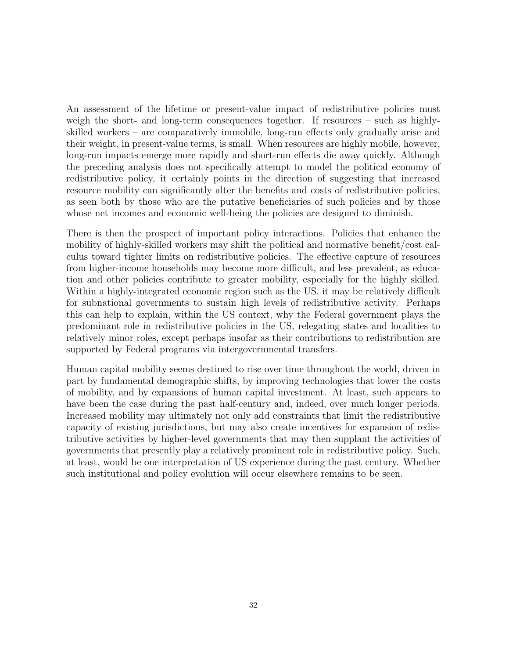An assessment of the lifetime or present-value impact of redistributive policies must weigh the short- and long-term consequences together. If resources – such as highlyskilled workers – are comparatively immobile, long-run effects only gradually arise and their weight, in present-value terms, is small. When resources are highly mobile, however, long-run impacts emerge more rapidly and short-run effects die away quickly. Although the preceding analysis does not specifically attempt to model the political economy of redistributive policy, it certainly points in the direction of suggesting that increased resource mobility can significantly alter the benefits and costs of redistributive policies, as seen both by those who are the putative beneficiaries of such policies and by those whose net incomes and economic well-being the policies are designed to diminish.

There is then the prospect of important policy interactions. Policies that enhance the mobility of highly-skilled workers may shift the political and normative benefit/cost calculus toward tighter limits on redistributive policies. The effective capture of resources from higher-income households may become more difficult, and less prevalent, as education and other policies contribute to greater mobility, especially for the highly skilled. Within a highly-integrated economic region such as the US, it may be relatively difficult for subnational governments to sustain high levels of redistributive activity. Perhaps this can help to explain, within the US context, why the Federal government plays the predominant role in redistributive policies in the US, relegating states and localities to relatively minor roles, except perhaps insofar as their contributions to redistribution are supported by Federal programs via intergovernmental transfers.

Human capital mobility seems destined to rise over time throughout the world, driven in part by fundamental demographic shifts, by improving technologies that lower the costs of mobility, and by expansions of human capital investment. At least, such appears to have been the case during the past half-century and, indeed, over much longer periods. Increased mobility may ultimately not only add constraints that limit the redistributive capacity of existing jurisdictions, but may also create incentives for expansion of redistributive activities by higher-level governments that may then supplant the activities of governments that presently play a relatively prominent role in redistributive policy. Such, at least, would be one interpretation of US experience during the past century. Whether such institutional and policy evolution will occur elsewhere remains to be seen.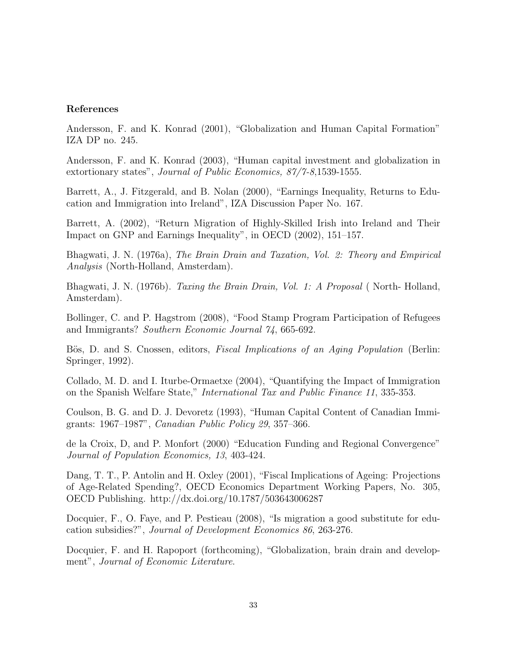#### References

Andersson, F. and K. Konrad (2001), "Globalization and Human Capital Formation" IZA DP no. 245.

Andersson, F. and K. Konrad (2003), "Human capital investment and globalization in extortionary states", Journal of Public Economics, 87/7-8,1539-1555.

Barrett, A., J. Fitzgerald, and B. Nolan (2000), "Earnings Inequality, Returns to Education and Immigration into Ireland", IZA Discussion Paper No. 167.

Barrett, A. (2002), "Return Migration of Highly-Skilled Irish into Ireland and Their Impact on GNP and Earnings Inequality", in OECD (2002), 151–157.

Bhagwati, J. N. (1976a), The Brain Drain and Taxation, Vol. 2: Theory and Empirical Analysis (North-Holland, Amsterdam).

Bhagwati, J. N. (1976b). Taxing the Brain Drain, Vol. 1: A Proposal (North-Holland, Amsterdam).

Bollinger, C. and P. Hagstrom (2008), "Food Stamp Program Participation of Refugees and Immigrants? Southern Economic Journal 74, 665-692.

Bös, D. and S. Cnossen, editors, *Fiscal Implications of an Aging Population* (Berlin: Springer, 1992).

Collado, M. D. and I. Iturbe-Ormaetxe (2004), "Quantifying the Impact of Immigration on the Spanish Welfare State," International Tax and Public Finance 11, 335-353.

Coulson, B. G. and D. J. Devoretz (1993), "Human Capital Content of Canadian Immigrants: 1967–1987", Canadian Public Policy 29, 357–366.

de la Croix, D, and P. Monfort (2000) "Education Funding and Regional Convergence" Journal of Population Economics, 13, 403-424.

Dang, T. T., P. Antolin and H. Oxley (2001), "Fiscal Implications of Ageing: Projections of Age-Related Spending?, OECD Economics Department Working Papers, No. 305, OECD Publishing. http://dx.doi.org/10.1787/503643006287

Docquier, F., O. Faye, and P. Pestieau (2008), "Is migration a good substitute for education subsidies?", Journal of Development Economics 86, 263-276.

Docquier, F. and H. Rapoport (forthcoming), "Globalization, brain drain and development", Journal of Economic Literature.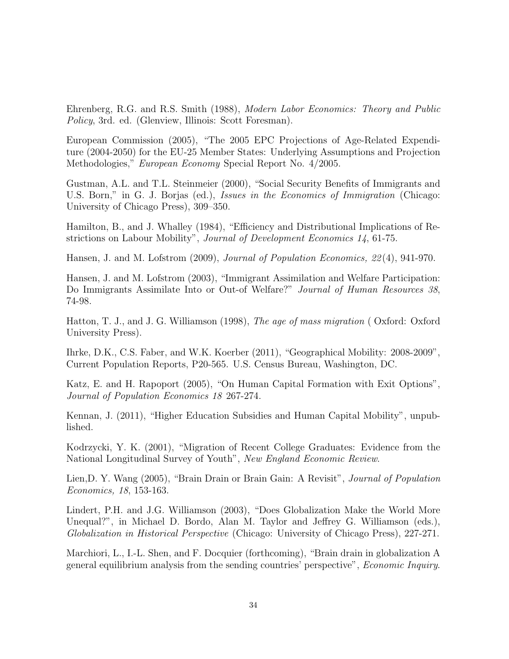Ehrenberg, R.G. and R.S. Smith (1988), Modern Labor Economics: Theory and Public Policy, 3rd. ed. (Glenview, Illinois: Scott Foresman).

European Commission (2005), "The 2005 EPC Projections of Age-Related Expenditure (2004-2050) for the EU-25 Member States: Underlying Assumptions and Projection Methodologies," European Economy Special Report No. 4/2005.

Gustman, A.L. and T.L. Steinmeier (2000), "Social Security Benefits of Immigrants and U.S. Born," in G. J. Borjas (ed.), *Issues in the Economics of Immigration* (Chicago: University of Chicago Press), 309–350.

Hamilton, B., and J. Whalley (1984), "Efficiency and Distributional Implications of Restrictions on Labour Mobility", Journal of Development Economics 14, 61-75.

Hansen, J. and M. Lofstrom (2009), Journal of Population Economics, 22 (4), 941-970.

Hansen, J. and M. Lofstrom (2003), "Immigrant Assimilation and Welfare Participation: Do Immigrants Assimilate Into or Out-of Welfare?" Journal of Human Resources 38, 74-98.

Hatton, T. J., and J. G. Williamson (1998), The age of mass migration (Oxford: Oxford University Press).

Ihrke, D.K., C.S. Faber, and W.K. Koerber (2011), "Geographical Mobility: 2008-2009", Current Population Reports, P20-565. U.S. Census Bureau, Washington, DC.

Katz, E. and H. Rapoport (2005), "On Human Capital Formation with Exit Options", Journal of Population Economics 18 267-274.

Kennan, J. (2011), "Higher Education Subsidies and Human Capital Mobility", unpublished.

Kodrzycki, Y. K. (2001), "Migration of Recent College Graduates: Evidence from the National Longitudinal Survey of Youth", New England Economic Review.

Lien, D. Y. Wang (2005), "Brain Drain or Brain Gain: A Revisit", *Journal of Population* Economics, 18, 153-163.

Lindert, P.H. and J.G. Williamson (2003), "Does Globalization Make the World More Unequal?", in Michael D. Bordo, Alan M. Taylor and Jeffrey G. Williamson (eds.), Globalization in Historical Perspective (Chicago: University of Chicago Press), 227-271.

Marchiori, L., I.-L. Shen, and F. Docquier (forthcoming), "Brain drain in globalization A general equilibrium analysis from the sending countries' perspective", Economic Inquiry.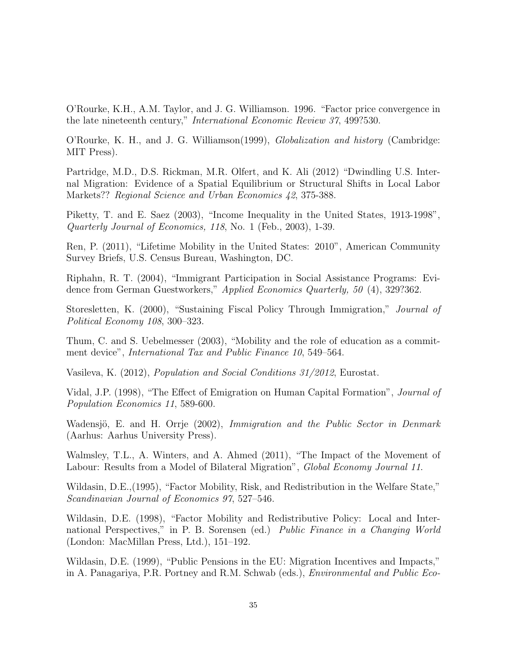O'Rourke, K.H., A.M. Taylor, and J. G. Williamson. 1996. "Factor price convergence in the late nineteenth century," International Economic Review 37, 499?530.

O'Rourke, K. H., and J. G. Williamson(1999), Globalization and history (Cambridge: MIT Press).

Partridge, M.D., D.S. Rickman, M.R. Olfert, and K. Ali (2012) "Dwindling U.S. Internal Migration: Evidence of a Spatial Equilibrium or Structural Shifts in Local Labor Markets?? Regional Science and Urban Economics 42, 375-388.

Piketty, T. and E. Saez (2003), "Income Inequality in the United States, 1913-1998", Quarterly Journal of Economics, 118, No. 1 (Feb., 2003), 1-39.

Ren, P. (2011), "Lifetime Mobility in the United States: 2010", American Community Survey Briefs, U.S. Census Bureau, Washington, DC.

Riphahn, R. T. (2004), "Immigrant Participation in Social Assistance Programs: Evidence from German Guestworkers," Applied Economics Quarterly, 50 (4), 329?362.

Storesletten, K. (2000), "Sustaining Fiscal Policy Through Immigration," Journal of Political Economy 108, 300–323.

Thum, C. and S. Uebelmesser (2003), "Mobility and the role of education as a commitment device", International Tax and Public Finance 10, 549–564.

Vasileva, K. (2012), Population and Social Conditions 31/2012, Eurostat.

Vidal, J.P. (1998), "The Effect of Emigration on Human Capital Formation", Journal of Population Economics 11, 589-600.

Wadensjö, E. and H. Orrje (2002), Immigration and the Public Sector in Denmark (Aarhus: Aarhus University Press).

Walmsley, T.L., A. Winters, and A. Ahmed (2011), "The Impact of the Movement of Labour: Results from a Model of Bilateral Migration", *Global Economy Journal 11*.

Wildasin, D.E.,(1995), "Factor Mobility, Risk, and Redistribution in the Welfare State," Scandinavian Journal of Economics 97, 527–546.

Wildasin, D.E. (1998), "Factor Mobility and Redistributive Policy: Local and International Perspectives," in P. B. Sorensen (ed.) Public Finance in a Changing World (London: MacMillan Press, Ltd.), 151–192.

Wildasin, D.E. (1999), "Public Pensions in the EU: Migration Incentives and Impacts," in A. Panagariya, P.R. Portney and R.M. Schwab (eds.), Environmental and Public Eco